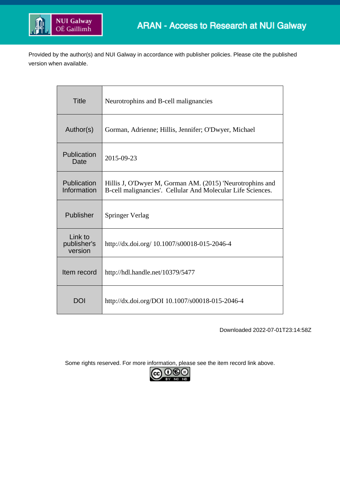

Provided by the author(s) and NUI Galway in accordance with publisher policies. Please cite the published version when available.

| <b>Title</b>                      | Neurotrophins and B-cell malignancies                                                                                    |  |  |
|-----------------------------------|--------------------------------------------------------------------------------------------------------------------------|--|--|
| Author(s)                         | Gorman, Adrienne; Hillis, Jennifer; O'Dwyer, Michael                                                                     |  |  |
| Publication<br>Date               | 2015-09-23                                                                                                               |  |  |
| Publication<br>Information        | Hillis J, O'Dwyer M, Gorman AM. (2015) 'Neurotrophins and<br>B-cell malignancies'. Cellular And Molecular Life Sciences. |  |  |
| Publisher                         | Springer Verlag                                                                                                          |  |  |
| Link to<br>publisher's<br>version | http://dx.doi.org/ 10.1007/s00018-015-2046-4                                                                             |  |  |
| Item record                       | http://hdl.handle.net/10379/5477                                                                                         |  |  |
| DOI                               | http://dx.doi.org/DOI 10.1007/s00018-015-2046-4                                                                          |  |  |

Downloaded 2022-07-01T23:14:58Z

Some rights reserved. For more information, please see the item record link above.

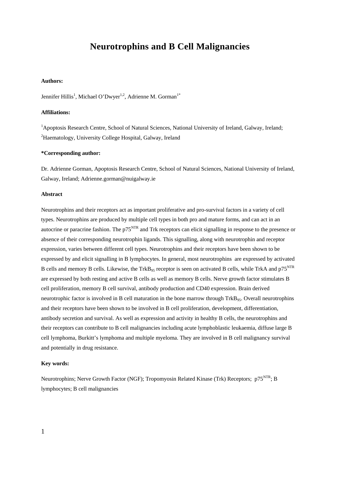# **Neurotrophins and B Cell Malignancies**

## **Authors:**

Jennifer Hillis<sup>1</sup>, Michael O'Dwyer<sup>1,2</sup>, Adrienne M. Gorman<sup>1\*</sup>

## **Affiliations:**

<sup>1</sup>Apoptosis Research Centre, School of Natural Sciences, National University of Ireland, Galway, Ireland; <sup>2</sup>Haematology, University College Hospital, Galway, Ireland

## **\*Corresponding author:**

Dr. Adrienne Gorman, Apoptosis Research Centre, School of Natural Sciences, National University of Ireland, Galway, Ireland; Adrienne.gorman@nuigalway.ie

## **Abstract**

Neurotrophins and their receptors act as important proliferative and pro-survival factors in a variety of cell types. Neurotrophins are produced by multiple cell types in both pro and mature forms, and can act in an autocrine or paracrine fashion. The p75<sup>NTR</sup> and Trk receptors can elicit signalling in response to the presence or absence of their corresponding neurotrophin ligands. This signalling, along with neurotrophin and receptor expression, varies between different cell types. Neurotrophins and their receptors have been shown to be expressed by and elicit signalling in B lymphocytes. In general, most neurotrophins are expressed by activated B cells and memory B cells. Likewise, the TrkB<sub>95</sub> receptor is seen on activated B cells, while TrkA and  $p75^{NTR}$ are expressed by both resting and active B cells as well as memory B cells. Nerve growth factor stimulates B cell proliferation, memory B cell survival, antibody production and CD40 expression. Brain derived neurotrophic factor is involved in B cell maturation in the bone marrow through  $TrkB_{.65}$ . Overall neurotrophins and their receptors have been shown to be involved in B cell proliferation, development, differentiation, antibody secretion and survival. As well as expression and activity in healthy B cells, the neurotrophins and their receptors can contribute to B cell malignancies including acute lymphoblastic leukaemia, diffuse large B cell lymphoma, Burkitt's lymphoma and multiple myeloma. They are involved in B cell malignancy survival and potentially in drug resistance.

#### **Key words:**

Neurotrophins; Nerve Growth Factor (NGF); Tropomyosin Related Kinase (Trk) Receptors; p75<sup>NTR</sup>; B lymphocytes; B cell malignancies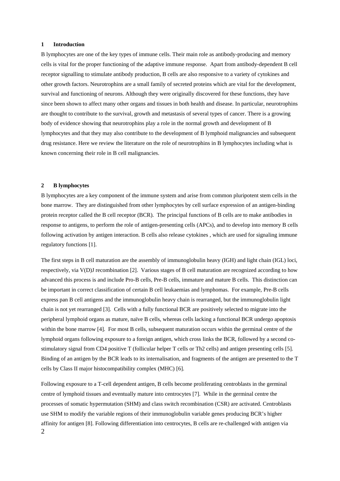#### **1 Introduction**

B lymphocytes are one of the key types of immune cells. Their main role as antibody-producing and memory cells is vital for the proper functioning of the adaptive immune response. Apart from antibody-dependent B cell receptor signalling to stimulate antibody production, B cells are also responsive to a variety of cytokines and other growth factors. Neurotrophins are a small family of secreted proteins which are vital for the development, survival and functioning of neurons. Although they were originally discovered for these functions, they have since been shown to affect many other organs and tissues in both health and disease. In particular, neurotrophins are thought to contribute to the survival, growth and metastasis of several types of cancer. There is a growing body of evidence showing that neurotrophins play a role in the normal growth and development of B lymphocytes and that they may also contribute to the development of B lymphoid malignancies and subsequent drug resistance. Here we review the literature on the role of neurotrophins in B lymphocytes including what is known concerning their role in B cell malignancies.

## **2 B lymphocytes**

B lymphocytes are a key component of the immune system and arise from common pluripotent stem cells in the bone marrow. They are distinguished from other lymphocytes by cell surface expression of an antigen-binding protein receptor called the B cell receptor (BCR). The principal functions of B cells are to make [antibodies](https://en.wikipedia.org/wiki/Antibody) in response to [antigens,](https://en.wikipedia.org/wiki/Antigen) to perform the role o[f antigen-presenting cells](https://en.wikipedia.org/wiki/Antigen-presenting_cell) (APCs), and to develop into memory B cells following activation by antigen interaction. B cells also release [cytokines](https://en.wikipedia.org/wiki/Cytokine) , which are used for signaling immune regulatory functions [\[1\]](#page-13-0).

The first steps in B cell maturation are the assembly of immunoglobulin heavy (IGH) and light chain (IGL) loci, respectively, via V(D)J recombination [\[2\]](#page-13-1). Various stages of B cell maturation are recognized according to how advanced this process is and include Pro-B cells, Pre-B cells, immature and mature B cells. This distinction can be important in correct classification of certain B cell leukaemias and lymphomas. For example, Pre-B cells express pan B cell antigens and the immunoglobulin heavy chain is rearranged, but the immunoglobulin light chain is not yet rearranged [\[3\]](#page-13-2). Cells with a fully functional BCR are positively selected to migrate into the peripheral lymphoid organs as mature, naïve B cells, whereas cells lacking a functional BCR undergo apoptosis within the bone marrow [\[4\]](#page-13-3). For most B cells, subsequent maturation occurs within the germinal centre of the lymphoid organs following exposure to a foreign antigen, which cross links the BCR, followed by a second costimulatory signal from CD4 positive T (follicular helper T cells or Th2 cells) and antigen presenting cells [\[5\]](#page-13-4). Binding of an antigen by the BCR leads to its internalisation, and fragments of the antigen are presented to the T cells by Class II major histocompatibility complex (MHC) [\[6\]](#page-13-5).

2 Following exposure to a T-cell dependent antigen, B cells become proliferating centroblasts in the germinal centre of lymphoid tissues and eventually mature into centrocytes [\[7\]](#page-13-6). While in the germinal centre the processes of somatic hypermutation (SHM) and class switch recombination (CSR) are activated. Centroblasts use SHM to modify the variable regions of their immunoglobulin variable genes producing BCR's higher affinity for antigen [\[8\]](#page-13-7). Following differentiation into centrocytes, B cells are re-challenged with antigen via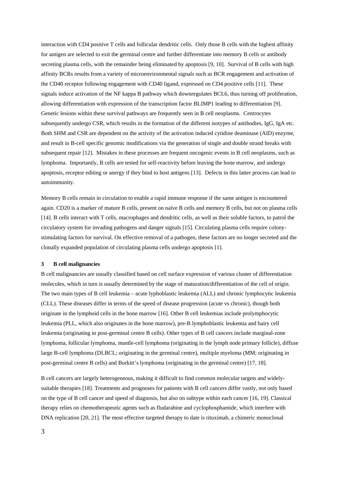interaction with CD4 positive T cells and follicular dendritic cells. Only those B cells with the highest affinity for antigen are selected to exit the germinal centre and further differentiate into memory B cells or antibody secreting plasma cells, with the remainder being eliminated by apoptosis [\[9,](#page-13-8) [10\]](#page-13-9). Survival of B cells with high affinity BCRs results from a variety of microenvironmental signals such as BCR engagement and activation of the CD40 receptor following engagement with CD40 ligand, expressed on CD4 positive cells [\[11\]](#page-13-10). These signals induce activation of the NF kappa B pathway which downregulates BCL6, thus turning off proliferation, allowing differentiation with expression of the transcription factor BLIMP1 leading to differentiation [\[9\]](#page-13-8). Genetic lesions within these survival pathways are frequently seen in B cell neoplasms. Centrocytes subsequently undergo CSR, which results in the formation of the different isotypes of antibodies, IgG, IgA etc. Both SHM and CSR are dependent on the activity of the activation induced cytidine deaminase (AID) enzyme, and result in B-cell specific genomic modifications via the generation of single and double strand breaks with subsequent repair [\[12\]](#page-13-11). Mistakes in these processes are frequent oncogenic events in B cell neoplasms, such as lymphoma. Importantly, B cells are tested for self-reactivity before leaving the bone marrow, and undergo apoptosis, receptor editing or anergy if they bind to host antigens [\[13\]](#page-13-12). Defects in this latter process can lead to autoimmunity.

Memory B cells remain in circulation to enable a rapid immune response if the same antigen is encountered again. CD20 is a marker of mature B cells, present on naïve B cells and memory B cells, but not on plasma cells [\[14\]](#page-13-13). B cells interact with T cells, macrophages and dendritic cells, as well as their soluble factors, to patrol the circulatory system for invading pathogens and danger signals [\[15\]](#page-13-14). Circulating plasma cells require colonystimulating factors for survival. On effective removal of a pathogen, these factors are no longer secreted and the clonally expanded population of circulating plasma cells undergo apoptosis [\[1\]](#page-13-0).

#### **3 B cell malignancies**

B cell malignancies are usually classified based on cell surface expression of various cluster of differentiation molecules, which in turn is usually determined by the stage of maturation/differentiation of the cell of origin. The two main types of B cell leukemia – acute lyphoblastic leukemia (ALL) and chronic lymphocytic leukemia (CLL). These diseases differ in terms of the speed of disease progression (acute vs chronic), though both originate in the lymphoid cells in the bone marrow [\[16\]](#page-13-15). Other B cell leukemias include prolymphocytic leukemia (PLL, which also originates in the bone marrow), pre-B lymphoblastic leukemia and hairy cell leukemia (originating in post-germinal centre B cells). Other types of B cell cancers include marginal-zone lymphoma, follicular lymphoma, mantle-cell lymphoma (originating in the lymph node primary follicle), diffuse large B-cell lymphoma (DLBCL; originating in the germinal centre), multiple myeloma (MM; originating in post-germinal centre B cells) and Burkitt's lymphoma (originating in the germinal centre) [\[17,](#page-13-16) [18\]](#page-13-17).

B cell cancers are largely heterogeneous, making it difficult to find common molecular targets and widelysuitable therapies [\[18\]](#page-13-17). Treatments and prognoses for patients with B cell cancers differ vastly, not only based on the type of B cell cancer and speed of diagnosis, but also on subtype within each cancer [\[16,](#page-13-15) [19\]](#page-13-18). Classical therapy relies on chemotherapeutic agents such as fludarabine and cyclophosphamide, which interfere with DNA replication [\[20,](#page-13-19) [21\]](#page-13-20). The most effective targeted therapy to date is rituximab, a chimeric monoclonal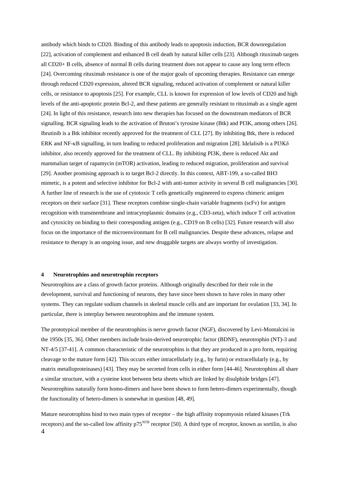antibody which binds to CD20. Binding of this antibody leads to apoptosis induction, BCR downregulation [\[22\]](#page-13-21), activation of complement and enhanced B cell death by natural killer cells [\[23\]](#page-14-0). Although rituximab targets all CD20+ B cells, absence of normal B cells during treatment does not appear to cause any long term effects [\[24\]](#page-14-1). Overcoming rituximab resistance is one of the major goals of upcoming therapies. Resistance can emerge through reduced CD20 expression, altered BCR signaling, reduced activation of complement or natural killer cells, or resistance to apoptosis [\[25\]](#page-14-2). For example, CLL is known for expression of low levels of CD20 and high levels of the anti-apoptotic protein Bcl-2, and these patients are generally resistant to rituximab as a single agent [\[24\]](#page-14-1). In light of this resistance, research into new therapies has focused on the downstream mediators of BCR signalling. BCR signaling leads to the activation of Bruton's tyrosine kinase (Btk) and PI3K, among others [\[26\]](#page-14-3). Ibrutinib is a Btk inhibitor recently approved for the treatment of CLL [\[27\]](#page-14-4). By inhibiting Btk, there is reduced ERK and NF-κB signalling, in turn leading to reduced proliferation and migration [\[28\]](#page-14-5). Idelalisib is a PI3Kδ inhibitor, also recently approved for the treatment of CLL. By inhibiting PI3K, there is reduced Akt and mammalian target of rapamycin (mTOR) activation, leading to reduced migration, proliferation and survival [\[29\]](#page-14-6). Another promising approach is to target Bcl-2 directly. In this context, ABT-199, a so-called BH3 mimetic, is a potent and selective inhibitor for Bcl-2 with anti-tumor activity in several B cell malignancies [\[30\]](#page-14-7). A further line of research is the use of cytotoxic T cells genetically engineered to express chimeric antigen receptors on their surface [\[31\]](#page-14-8). These receptors combine single-chain variable fragments (scFv) for antigen recognition with transmembrane and intracytoplasmic domains (e.g., CD3-zeta), which induce T cell activation and cytoxicity on binding to their corresponding antigen (e.g., CD19 on B cells) [\[32\]](#page-14-9). Future research will also focus on the importance of the microenvironmant for B cell malignancies. Despite these advances, relapse and resistance to therapy is an ongoing issue, and new druggable targets are always worthy of investigation.

#### **4 Neurotrophins and neurotrophin receptors**

Neurotrophins are a class of growth factor proteins. Although originally described for their role in the development, survival and functioning of neurons, they have since been shown to have roles in many other systems. They can regulate sodium channels in skeletal muscle cells and are important for ovulation [\[33,](#page-14-10) [34\]](#page-14-11). In particular, there is interplay between neurotrophins and the immune system.

The prototypical member of the neurotrophins is nerve growth factor (NGF), discovered by Levi-Montalcini in the 1950s [\[35,](#page-14-12) [36\]](#page-14-13). Other members include brain-derived neurotrophic factor (BDNF), neurotrophin (NT)-3 and NT-4/5 [\[37-41\]](#page-14-14). A common characteristic of the neurotrophins is that they are produced in a pro form, requiring cleavage to the mature form [\[42\]](#page-15-0). This occurs either intracellularly (e.g., by furin) or extracellularly (e.g., by matrix metalloproteinases) [\[43\]](#page-15-1). They may be secreted from cells in either form [\[44-46\]](#page-15-2). Neurotrophins all share a similar structure, with a cysteine knot between beta sheets which are linked by disulphide bridges [\[47\]](#page-15-3). Neurotrophins naturally form homo-dimers and have been shown to form hetero-dimers experimentally, though the functionality of hetero-dimers is somewhat in question [\[48,](#page-15-4) [49\]](#page-15-5).

4 Mature neurotrophins bind to two main types of receptor – the high affinity tropomyosin related kinases (Trk receptors) and the so-called low affinity p75<sup>NTR</sup> receptor [\[50\]](#page-15-6). A third type of receptor, known as sortilin, is also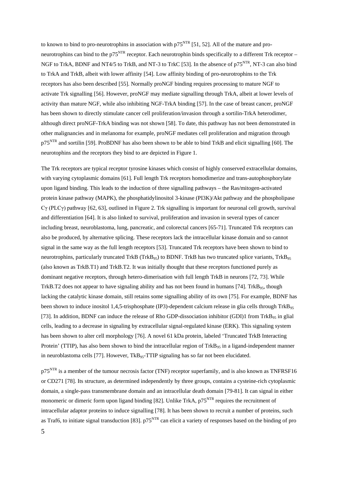to known to bind to pro-neurotrophins in association with  $p75<sup>NTR</sup>$  [\[51,](#page-15-7) [52\]](#page-15-8). All of the mature and proneurotrophins can bind to the  $p75<sup>NTR</sup>$  receptor. Each neurotrophin binds specifically to a different Trk receptor – NGF to TrkA, BDNF and NT4/5 to TrkB, and NT-3 to TrkC [\[53\]](#page-15-9). In the absence of p75<sup>NTR</sup>, NT-3 can also bind to TrkA and TrkB, albeit with lower affinity [\[54\]](#page-15-10). Low affinity binding of pro-neurotrophins to the Trk receptors has also been described [\[55\]](#page-15-11). Normally proNGF binding requires processing to mature NGF to activate Trk signalling [\[56\]](#page-16-0). However, proNGF may mediate signalling through TrkA, albeit at lower levels of activity than mature NGF, while also inhibiting NGF-TrkA binding [\[57\]](#page-16-1). In the case of breast cancer, proNGF has been shown to directly stimulate cancer cell proliferation/invasion through a sortilin-TrkA heterodimer, although direct proNGF-TrkA binding was not shown [\[58\]](#page-16-2). To date, this pathway has not been demonstrated in other malignancies and in melanoma for example, proNGF mediates cell proliferation and migration through  $p75<sup>NTR</sup>$  and sortilin [\[59\]](#page-16-3). ProBDNF has also been shown to be able to bind TrkB and elicit signalling [\[60\]](#page-16-4). The neurotophins and the receptors they bind to are depicted in Figure 1.

The Trk receptors are typical receptor tyrosine kinases which consist of highly conserved extracellular domains, with varying cytoplasmic domains [\[61\]](#page-16-5). Full length Trk receptors homodimerize and trans-autophosphorylate upon ligand binding. This leads to the induction of three signalling pathways – the Ras/mitogen-activated protein kinase pathway (MAPK), the phosphatidylinositol 3-kinase (PI3K)/Akt pathway and the phospholipase Cγ (PLCγ) pathway [\[62,](#page-16-6) [63\]](#page-16-7), outlined in Figure 2. Trk signalling is important for neuronal cell growth, survival and differentiation [\[64\]](#page-16-8). It is also linked to survival, proliferation and invasion in several types of cancer including breast, neuroblastoma, lung, pancreatic, and colorectal cancers [\[65-71\]](#page-16-9). Truncated Trk receptors can also be produced, by alternative splicing. These receptors lack the intracellular kinase domain and so cannot signal in the same way as the full length receptors [\[53\]](#page-15-9). Truncated Trk receptors have been shown to bind to neurotrophins, particularly truncated TrkB (TrkB<sub>95</sub>) to BDNF. TrkB has two truncated splice variants, TrkB<sub>95</sub> (also known as TrkB.T1) and TrkB.T2. It was initially thought that these receptors functioned purely as dominant negative receptors, through hetero-dimerisation with full length TrkB in neurons [\[72,](#page-16-10) [73\]](#page-16-11). While TrkB.T2 does not appear to have signaling ability and has not been found in humans [\[74\]](#page-17-0). TrkB95, though lacking the catalytic kinase domain, still retains some signalling ability of its own [\[75\]](#page-17-1). For example, BDNF has been shown to induce inositol 1,4,5-trisphosphate (IP3)-dependent calcium release in glia cells through TrkB<sub>95</sub> [\[73\]](#page-16-11). In addition, BDNF can induce the release of Rho GDP-dissociation inhibitor (GDI)1 from TrkB<sub>95</sub> in glial cells, leading to a decrease in signaling by extracellular signal-regulated kinase (ERK). This signaling system has been shown to alter cell morphology [\[76\]](#page-17-2). A novel 61 kDa protein, labeled 'Truncated TrkB Interacting Protein' (TTIP), has also been shown to bind the intracellular region of  $TrkB_{95}$  in a ligand-independent manner in neuroblastoma cells [\[77\]](#page-17-3). However,  $TKB_{95}$ -TTIP signaling has so far not been elucidated.

p75<sup>NTR</sup> is a member of the tumour necrosis factor (TNF) receptor superfamily, and is also known as TNFRSF16 or CD271 [\[78\]](#page-17-4). Its structure, as determined independently by three groups, contains a cysteine-rich cytoplasmic domain, a single-pass transmembrane domain and an intracellular death domain [\[79-81\]](#page-17-5). It can signal in either monomeric or dimeric form upon ligand binding [\[82\]](#page-17-6). Unlike TrkA,  $p75<sup>NTR</sup>$  requires the recruitment of intracellular adaptor proteins to induce signalling [\[78\]](#page-17-4). It has been shown to recruit a number of proteins, such as Traf6, to initiate signal transduction [\[83\]](#page-17-7).  $p75<sup>NTR</sup>$  can elicit a variety of responses based on the binding of pro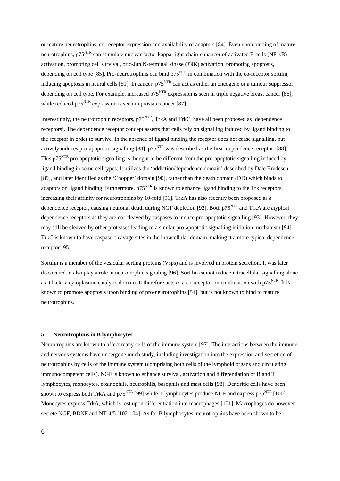or mature neurotrophins, co-receptor expression and availability of adaptors [\[84\]](#page-17-8). Even upon binding of mature neurotrophins, p75<sup>NTR</sup> can stimulate nuclear factor kappa-light-chain-enhancer of activated B cells (NF-κB) activation, promoting cell survival, or c-Jun N-terminal kinase (JNK) activation, promoting apoptosis, depending on cell type [\[85\]](#page-17-9). Pro-neurotrophins can bind  $p75<sup>NTR</sup>$  in combination with the co-receptor sortilin, inducing apoptosis in neural cells [\[51\]](#page-15-7). In cancer,  $p75<sup>NTR</sup>$  can act as either an oncogene or a tumour suppressor, depending on cell type. For example, increased  $p75<sup>NTR</sup>$  expression is seen in triple negative breast cancer [\[86\]](#page-17-10), while reduced p<sup>75</sup><sup>NTR</sup> expression is seen in prostate cancer [\[87\]](#page-17-11).

Interestingly, the neurotrophin receptors, p75<sup>NTR</sup>, TrkA and TrkC, have all been proposed as 'dependence receptors'. The dependence receptor concept asserts that cells rely on signalling induced by ligand binding to the receptor in order to survive. In the absence of ligand binding the receptor does not cease signalling, but actively induces pro-apoptotic signalling [\[88\]](#page-17-12).  $p75<sup>NTR</sup>$  was described as the first 'dependence receptor' [88]. This  $p75<sup>NTR</sup>$  pro-apoptotic signalling is thought to be different from the pro-apoptotic signalling induced by ligand binding in some cell types. It utilizes the 'addiction/dependence domain' described by Dale Bredesen [\[89\]](#page-17-13), and later identified as the 'Chopper' domain [\[90\]](#page-17-14), rather than the death domain (DD) which binds to adaptors on ligand binding. Furthermore,  $p75<sup>NTR</sup>$  is known to enhance ligand binding to the Trk receptors, increasing their affinity for neurotrophins by 10-fold [\[91\]](#page-17-15). TrkA has also recently been proposed as a dependence receptor, causing neuronal death during NGF depletion [\[92\]](#page-17-16). Both  $p75<sup>NTR</sup>$  and TrkA are atypical dependence receptors as they are not cleaved by caspases to induce pro-apoptotic signalling [\[93\]](#page-18-0). However, they may still be cleaved by other proteases leading to a similar pro-apoptotic signalling initiation mechanism [\[94\]](#page-18-1). TrkC is known to have caspase cleavage sites in the intracellular domain, making it a more typical dependence receptor [\[95\]](#page-18-2).

Sortilin is a member of the vesicular sorting proteins (Vsps) and is involved in protein secretion. It was later discovered to also play a role in neurotrophin signaling [\[96\]](#page-18-3). Sortilin cannot induce intracellular signalling alone as it lacks a cytoplasmic catalytic domain. It therefore acts as a co-receptor, in combination with  $p75<sup>NTR</sup>$ . It is known to promote apoptosis upon binding of pro-neurotrophins [\[51\]](#page-15-7), but is not known to bind to mature neurotrophins.

## **5 Neurotrophins in B lymphocytes**

Neurotrophins are known to affect many cells of the immune system [\[97\]](#page-18-4). The interactions between the immune and nervous systems have undergone much study, including investigation into the expression and secretion of neurotrophins by cells of the immune system (comprising both cells of the lymphoid organs and circulating immunocompetent cells). NGF is known to enhance survival, activation and differentiation of B and T lymphocytes, monocytes, eosinophils, neutrophils, basophils and mast cells [\[98\]](#page-18-5). Dendritic cells have been shown to express both TrkA and  $p75<sup>NTR</sup>$  [\[99\]](#page-18-6) while T lymphocytes produce NGF and express p75<sup>NTR</sup> [\[100\]](#page-18-7). Monocytes express TrkA, which is lost upon differentiation into macrophages [\[101\]](#page-18-8). Macrophages do however secrete NGF, BDNF and NT-4/5 [\[102-104\]](#page-18-9). As for B lymphocytes, neurotrophins have been shown to be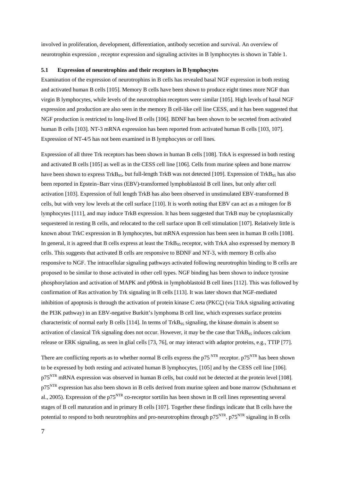involved in proliferation, development, differentiation, antibody secretion and survival. An overview of neurotrophin expression , receptor expression and signaling activites in B lymphocytes is shown in Table 1.

#### **5.1 Expression of neurotrophins and their receptors in B lymphocytes**

Examination of the expression of neurotrophins in B cells has revealed basal NGF expression in both resting and activated human B cells [\[105\]](#page-18-10). Memory B cells have been shown to produce eight times more NGF than virgin B lymphocytes, while levels of the neurotrophin receptors were similar [\[105\]](#page-18-10). High levels of basal NGF expression and production are also seen in the memory B cell-like cell line CESS, and it has been suggested that NGF production is restricted to long-lived B cells [\[106\]](#page-18-11). BDNF has been shown to be secreted from activated human B cells [\[103\]](#page-18-12). NT-3 mRNA expression has been reported from activated human B cells [\[103,](#page-18-12) [107\]](#page-18-13). Expression of NT-4/5 has not been examined in B lymphocytes or cell lines.

Expression of all three Trk receptors has been shown in human B cells [\[108\]](#page-18-14). TrkA is expressed in both resting and activated B cells [\[105\]](#page-18-10) as well as in the CESS cell line [\[106\]](#page-18-11). Cells from murine spleen and bone marrow have been shown to express TrkB<sub>95</sub>, but full-length TrkB was not detected [\[109\]](#page-19-0). Expression of TrkB<sub>95</sub> has also been reported in Epstein–Barr virus (EBV)-transformed lymphoblastoid B cell lines, but only after cell activation [\[103\]](#page-18-12). Expression of full length TrkB has also been observed in unstimulated EBV-transformed B cells, but with very low levels at the cell surface [\[110\]](#page-19-1). It is worth noting that EBV can act as a mitogen for B lymphocytes [\[111\]](#page-19-2), and may induce TrkB expression. It has been suggested that TrkB may be cytoplasmically sequestered in resting B cells, and relocated to the cell surface upon B cell stimulation [\[107\]](#page-18-13). Relatively little is known about TrkC expression in B lymphocytes, but mRNA expression has been seen in human B cells [\[108\]](#page-18-14). In general, it is agreed that B cells express at least the TrkB<sub>95</sub> receptor, with TrkA also expressed by memory B cells. This suggests that activated B cells are responsive to BDNF and NT-3, with memory B cells also responsive to NGF. The intracellular signaling pathways activated following neurotrophin binding to B cells are proposed to be similar to those activated in other cell types. NGF binding has been shown to induce tyrosine phosphorylation and activation of MAPK and p90rsk in lymphoblastoid B cell lines [\[112\]](#page-19-3). This was followed by confirmation of Ras activation by Trk signaling in B cells [\[113\]](#page-19-4). It was later shown that NGF-mediated inhibition of apoptosis is through the activation of protein kinase C zeta (PKCζ) (via TrkA signaling activating the PI3K pathway) in an EBV-negative Burkitt's lymphoma B cell line, which expresses surface proteins characteristic of normal early B cells [\[114\]](#page-19-5). In terms of  $TrkB_{95}$  signaling, the kinase domain is absent so activation of classical Trk signaling does not occur. However, it may be the case that  $TrkB_{95}$  induces calcium release or ERK signaling, as seen in glial cells [\[73,](#page-16-11) [76\]](#page-17-2), or may interact with adaptor proteins, e.g., TTIP [\[77\]](#page-17-3).

There are conflicting reports as to whether normal B cells express the p75<sup>NTR</sup> receptor. p75<sup>NTR</sup> has been shown to be expressed by both resting and activated human B lymphocytes, [\[105\]](#page-18-10) and by the CESS cell line [\[106\]](#page-18-11). p75<sup>NTR</sup> mRNA expression was observed in human B cells, but could not be detected at the protein level [\[108\]](#page-18-14). p75<sup>NTR</sup> expression has also been shown in B cells derived from murine spleen and bone marrow (Schuhmann et al., 2005). Expression of the  $p75<sup>NTR</sup>$  co-receptor sortilin has been shown in B cell lines representing several stages of B cell maturation and in primary B cells [\[107\]](#page-18-13). Together these findings indicate that B cells have the potential to respond to both neurotrophins and pro-neurotrophins through  $p75<sup>NTR</sup>$ .  $p75<sup>NTR</sup>$  signaling in B cells

7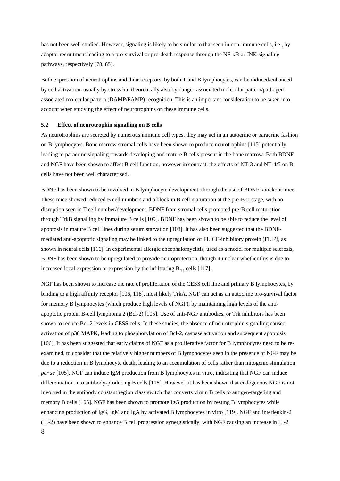has not been well studied. However, signaling is likely to be similar to that seen in non-immune cells, i.e., by adaptor recruitment leading to a pro-survival or pro-death response through the NF-κB or JNK signaling pathways, respectively [\[78,](#page-17-4) [85\]](#page-17-9).

Both expression of neurotrophins and their receptors, by both T and B lymphocytes, can be induced/enhanced by cell activation, usually by stress but theoretically also by danger-associated molecular pattern/pathogenassociated molecular pattern (DAMP/PAMP) recognition. This is an important consideration to be taken into account when studying the effect of neurotrophins on these immune cells.

#### **5.2 Effect of neurotrophin signalling on B cells**

As neurotrophins are secreted by numerous immune cell types, they may act in an autocrine or paracrine fashion on B lymphocytes. Bone marrow stromal cells have been shown to produce neurotrophins [\[115\]](#page-19-6) potentially leading to paracrine signaling towards developing and mature B cells present in the bone marrow. Both BDNF and NGF have been shown to affect B cell function, however in contrast, the effects of NT-3 and NT-4/5 on B cells have not been well characterised.

BDNF has been shown to be involved in B lymphocyte development, through the use of BDNF knockout mice. These mice showed reduced B cell numbers and a block in B cell maturation at the pre-B II stage, with no disruption seen in T cell number/development. BDNF from stromal cells promoted pre-B cell maturation through TrkB signalling by immature B cells [\[109\]](#page-19-0). BDNF has been shown to be able to reduce the level of apoptosis in mature B cell lines during serum starvation [\[108\]](#page-18-14). It has also been suggested that the BDNFmediated anti-apoptotic signaling may be linked to the upregulation of FLICE-inhibitory protein (FLIP), as shown in neural cells [\[116\]](#page-19-7). In experimental allergic encephalomyelitis, used as a model for multiple sclerosis, BDNF has been shown to be upregulated to provide neuroprotection, though it unclear whether this is due to increased local expression or expression by the infiltrating  $B_{\text{rec}}$  cells [\[117\]](#page-19-8).

8 NGF has been shown to increase the rate of proliferation of the CESS cell line and primary B lymphocytes, by binding to a high affinity receptor [\[106,](#page-18-11) [118\]](#page-19-9), most likely TrkA. NGF can act as an autocrine pro-survival factor for memory B lymphocytes (which produce high levels of NGF), by maintaining high levels of the antiapoptotic protein B-cell lymphoma 2 (Bcl-2) [\[105\]](#page-18-10). Use of anti-NGF antibodies, or Trk inhibitors has been shown to reduce Bcl-2 levels in CESS cells. In these studies, the absence of neurotrophin signalling caused activation of p38 MAPK, leading to phosphorylation of Bcl-2, caspase activation and subsequent apoptosis [\[106\]](#page-18-11). It has been suggested that early claims of NGF as a proliferative factor for B lymphocytes need to be reexamined, to consider that the relatively higher numbers of B lymphocytes seen in the presence of NGF may be due to a reduction in B lymphocyte death, leading to an accumulation of cells rather than mitogenic stimulation *per se* [\[105\]](#page-18-10). NGF can induce IgM production from B lymphocytes in vitro, indicating that NGF can induce differentiation into antibody-producing B cells [\[118\]](#page-19-9). However, it has been shown that endogenous NGF is not involved in the antibody constant region class switch that converts virgin B cells to antigen-targeting and memory B cells [\[105\]](#page-18-10). NGF has been shown to promote IgG production by resting B lymphocytes while enhancing production of IgG, IgM and IgA by activated B lymphocytes in vitro [\[119\]](#page-19-10). NGF and interleukin-2 (IL-2) have been shown to enhance B cell progression synergistically, with NGF causing an increase in IL-2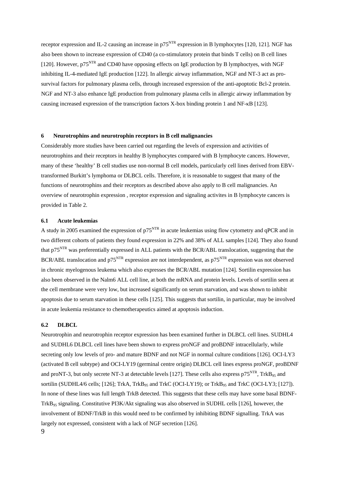receptor expression and IL-2 causing an increase in  $p75<sup>NTR</sup>$  expression in B lymphocytes [\[120,](#page-19-11) [121\]](#page-19-12). NGF has also been shown to increase expression of CD40 (a co-stimulatory protein that binds T cells) on B cell lines [\[120\]](#page-19-11). However,  $p75<sup>NTR</sup>$  and CD40 have opposing effects on IgE production by B lymphoctyes, with NGF inhibiting IL-4-mediated IgE production [\[122\]](#page-19-13). In allergic airway inflammation, NGF and NT-3 act as prosurvival factors for pulmonary plasma cells, through increased expression of the anti-apoptotic Bcl-2 protein. NGF and NT-3 also enhance IgE production from pulmonary plasma cells in allergic airway inflammation by causing increased expression of the transcription factors X-box binding protein 1 and NF-κB [\[123\]](#page-19-14).

#### **6 Neurotrophins and neurotrophin receptors in B cell malignancies**

Considerably more studies have been carried out regarding the levels of expression and activities of neurotrophins and their receptors in healthy B lymphocytes compared with B lymphocyte cancers. However, many of these 'healthy' B cell studies use non-normal B cell models, particularly cell lines derived from EBVtransformed Burkitt's lymphoma or DLBCL cells. Therefore, it is reasonable to suggest that many of the functions of neurotrophins and their receptors as described above also apply to B cell malignancies. An overview of neurotrophin expression , receptor expression and signaling activites in B lymphocyte cancers is provided in Table 2.

#### **6.1 Acute leukemias**

A study in 2005 examined the expression of  $p75<sup>NTR</sup>$  in acute leukemias using flow cytometry and qPCR and in two different cohorts of patients they found expression in 22% and 38% of ALL samples [\[124\]](#page-19-15). They also found that p75NTR was preferentially expressed in ALL patients with the BCR/ABL translocation, suggesting that the BCR/ABL translocation and  $p75<sup>NTR</sup>$  expression are not interdependent, as  $p75<sup>NTR</sup>$  expression was not observed in chronic myelogenous leukema which also expresses the BCR/ABL mutation [\[124\]](#page-19-15). Sortilin expression has also been observed in the Nalm6 ALL cell line, at both the mRNA and protein levels. Levels of sortilin seen at the cell membrane were very low, but increased significantly on serum starvation, and was shown to inhibit apoptosis due to serum starvation in these cells [\[125\]](#page-19-16). This suggests that sortilin, in particular, may be involved in acute leukemia resistance to chemotherapeutics aimed at apoptosis induction.

## **6.2 DLBCL**

9 Neurotrophin and neurotrophin receptor expression has been examined further in DLBCL cell lines. SUDHL4 and SUDHL6 DLBCL cell lines have been shown to express proNGF and proBDNF intracellularly, while secreting only low levels of pro- and mature BDNF and not NGF in normal culture conditions [\[126\]](#page-20-0). OCI-LY3 (activated B cell subtype) and OCI-LY19 (germinal centre origin) DLBCL cell lines express proNGF, proBDNF and proNT-3, but only secrete NT-3 at detectable levels [\[127\]](#page-20-1). These cells also express  $p75<sup>NTR</sup>$ , TrkB<sub>95</sub> and sortilin (SUDHL4/6 cells; [\[126\]](#page-20-0); TrkA, TrkB<sub>95</sub> and TrkC (OCI-LY19); or TrkB<sub>95</sub> and TrkC (OCI-LY3; [\[127\]](#page-20-1)). In none of these lines was full length TrkB detected. This suggests that these cells may have some basal BDNF-TrkB<sub>95</sub> signaling. Constitutive PI3K/Akt signaling was also observed in SUDHL cells [\[126\]](#page-20-0), however, the involvement of BDNF/TrkB in this would need to be confirmed by inhibiting BDNF signalling. TrkA was largely not expressed, consistent with a lack of NGF secretion [\[126\]](#page-20-0).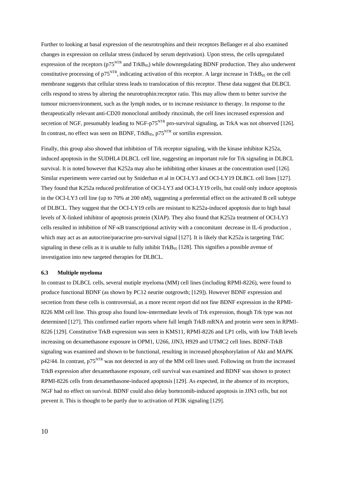Further to looking at basal expression of the neurotrophins and their receptors Bellanger et al also examined changes in expression on cellular stress (induced by serum deprivation). Upon stress, the cells upregulated expression of the receptors ( $p75<sup>NTR</sup>$  and TrkB<sub>95</sub>) while downregulating BDNF production. They also underwent constitutive processing of  $p75<sup>NTR</sup>$ , indicating activation of this receptor. A large increase in TrkB<sub>95</sub> on the cell membrane suggests that cellular stress leads to translocation of this receptor. These data suggest that DLBCL cells respond to stress by altering the neurotrophin:receptor ratio. This may allow them to better survive the tumour microenvironment, such as the lymph nodes, or to increase resistance to therapy. In response to the therapeutically relevant anti-CD20 monoclonal antibody rituximab, the cell lines increased expression and secretion of NGF, presumably leading to NGF-p $75<sup>NTR</sup>$  pro-survival signaling, as TrkA was not observed [\[126\]](#page-20-0). In contrast, no effect was seen on BDNF,  $TrkB_{95}$ ,  $p75<sup>NTR</sup>$  or sortilin expression.

Finally, this group also showed that inhibition of Trk receptor signaling, with the kinase inhibitor K252a, induced apoptosis in the SUDHL4 DLBCL cell line, suggesting an important role for Trk signaling in DLBCL survival. It is noted however that K252a may also be inhibiting other kinases at the concentration used [\[126\]](#page-20-0). Similar experiments were carried out by Sniderhan et al in OCI-LY3 and OCI-LY19 DLBCL cell lines [\[127\]](#page-20-1). They found that K252a reduced proliferation of OCI-LY3 and OCI-LY19 cells, but could only induce apoptosis in the OCI-LY3 cell line (up to 70% at 200 nM), suggesting a preferential effect on the activated B cell subtype of DLBCL. They suggest that the OCI-LY19 cells are resistant to K252a-induced apoptosis due to high basal levels of X-linked inhibitor of apoptosis protein (XIAP). They also found that K252a treatment of OCI-LY3 cells resulted in inhibition of NF-κB transcriptional activity with a concomitant decrease in IL-6 production , which may act as an autocrine/paracrine pro-survival signal [\[127\]](#page-20-1). It is likely that K252a is targeting TrkC signaling in these cells as it is unable to fully inhibit  $TrKB_{95}$  [\[128\]](#page-20-2). This signifies a possible avenue of investigation into new targeted therapies for DLBCL.

## **6.3 Multiple myeloma**

In contrast to DLBCL cells, several mutiple myeloma (MM) cell lines (including RPMI-8226), were found to produce functional BDNF (as shown by PC12 neurite outgrowth; [\[129\]](#page-20-3)). However BDNF expression and secretion from these cells is controversial, as a more recent report did not fine BDNF expression in the RPMI-8226 MM cell line. This group also found low-intermediate levels of Trk expression, though Trk type was not determined [\[127\]](#page-20-1). This confirmed earlier reports where full length TrkB mRNA and protein were seen in RPMI-8226 [\[129\]](#page-20-3). Constitutive TrkB expression was seen in KMS11, RPMI-8226 and LP1 cells, with low TrkB levels increasing on dexamethasone exposure in OPM1, U266, JJN3, H929 and UTMC2 cell lines. BDNF-TrkB signaling was examined and shown to be functional, resulting in increased phosphorylation of Akt and MAPK  $p42/44$ . In contrast,  $p75<sup>NTR</sup>$  was not detected in any of the MM cell lines used. Following on from the increased TrkB expression after dexamethasone exposure, cell survival was examined and BDNF was shown to protect RPMI-8226 cells from dexamethasone-induced apoptosis [\[129\]](#page-20-3). As expected, in the absence of its receptors, NGF had no effect on survival. BDNF could also delay bortezomib-induced apoptosis in JJN3 cells, but not prevent it. This is thought to be partly due to activation of PI3K signaling [\[129\]](#page-20-3).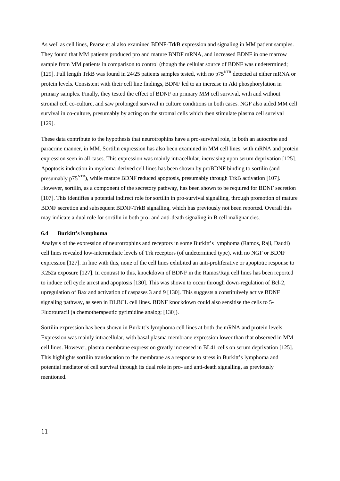As well as cell lines, Pearse et al also examined BDNF-TrkB expression and signaling in MM patient samples. They found that MM patients produced pro and mature BNDF mRNA, and increased BDNF in one marrow sample from MM patients in comparison to control (though the cellular source of BDNF was undetermined; [\[129\]](#page-20-3). Full length TrkB was found in 24/25 patients samples tested, with no p75<sup>NTR</sup> detected at either mRNA or protein levels. Consistent with their cell line findings, BDNF led to an increase in Akt phosphorylation in primary samples. Finally, they tested the effect of BDNF on primary MM cell survival, with and without stromal cell co-culture, and saw prolonged survival in culture conditions in both cases. NGF also aided MM cell survival in co-culture, presumably by acting on the stromal cells which then stimulate plasma cell survival [\[129\]](#page-20-3).

These data contribute to the hypothesis that neurotrophins have a pro-survival role, in both an autocrine and paracrine manner, in MM. Sortilin expression has also been examined in MM cell lines, with mRNA and protein expression seen in all cases. This expression was mainly intracellular, increasing upon serum deprivation [\[125\]](#page-19-16). Apoptosis induction in myeloma-derived cell lines has been shown by proBDNF binding to sortilin (and presumably p75<sup>NTR</sup>), while mature BDNF reduced apoptosis, presumably through TrkB activation [\[107\]](#page-18-13). However, sortilin, as a component of the secretory pathway, has been shown to be required for BDNF secretion [\[107\]](#page-18-13). This identifies a potential indirect role for sortilin in pro-survival signalling, through promotion of mature BDNF secretion and subsequent BDNF-TrkB signalling, which has previously not been reported. Overall this may indicate a dual role for sortilin in both pro- and anti-death signaling in B cell malignancies.

#### **6.4 Burkitt's lymphoma**

Analysis of the expression of neurotrophins and receptors in some Burkitt's lymphoma (Ramos, Raji, Daudi) cell lines revealed low-intermediate levels of Trk receptors (of undetermined type), with no NGF or BDNF expression [\[127\]](#page-20-1). In line with this, none of the cell lines exhibited an anti-proliferative or apoptotic response to K252a exposure [\[127\]](#page-20-1). In contrast to this, knockdown of BDNF in the Ramos/Raji cell lines has been reported to induce cell cycle arrest and apoptosis [\[130\]](#page-20-4). This was shown to occur through down-regulation of Bcl-2, upregulation of Bax and activation of caspases 3 and 9 [\[130\]](#page-20-4). This suggests a constituively active BDNF signaling pathway, as seen in DLBCL cell lines. BDNF knockdown could also sensitise the cells to 5- Fluorouracil (a chemotherapeutic pyrimidine analog; [\[130\]](#page-20-4)).

Sortilin expression has been shown in Burkitt's lymphoma cell lines at both the mRNA and protein levels. Expression was mainly intracellular, with basal plasma membrane expression lower than that observed in MM cell lines. However, plasma membrane expression greatly increased in BL41 cells on serum deprivation [\[125\]](#page-19-16). This highlights sortilin translocation to the membrane as a response to stress in Burkitt's lymphoma and potential mediator of cell survival through its dual role in pro- and anti-death signalling, as previously mentioned.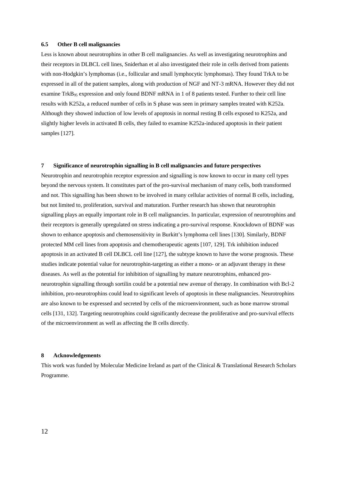#### **6.5 Other B cell malignancies**

Less is known about neurotrophins in other B cell malignancies. As well as investigating neurotrophins and their receptors in DLBCL cell lines, Sniderhan et al also investigated their role in cells derived from patients with non-Hodgkin's lymphomas (i.e., follicular and small lymphocytic lymphomas). They found TrkA to be expressed in all of the patient samples, along with production of NGF and NT-3 mRNA. However they did not examine TrkB<sub>95</sub> expression and only found BDNF mRNA in 1 of 8 patients tested. Further to their cell line results with K252a, a reduced number of cells in S phase was seen in primary samples treated with K252a. Although they showed induction of low levels of apoptosis in normal resting B cells exposed to K252a, and slightly higher levels in activated B cells, they failed to examine K252a-induced apoptosis in their patient samples [\[127\]](#page-20-1).

## **7 Significance of neurotrophin signalling in B cell malignancies and future perspectives**

Neurotrophin and neurotrophin receptor expression and signalling is now known to occur in many cell types beyond the nervous system. It constitutes part of the pro-survival mechanism of many cells, both transformed and not. This signalling has been shown to be involved in many cellular activities of normal B cells, including, but not limited to, proliferation, survival and maturation. Further research has shown that neurotrophin signalling plays an equally important role in B cell malignancies. In particular, expression of neurotrophins and their receptors is generally upregulated on stress indicating a pro-survival response. Knockdown of BDNF was shown to enhance apoptosis and chemosensitivity in Burkitt's lymphoma cell lines [\[130\]](#page-20-4). Similarly, BDNF protected MM cell lines from apoptosis and chemotherapeutic agents [\[107,](#page-18-13) [129\]](#page-20-3). Trk inhibition induced apoptosis in an activated B cell DLBCL cell line [\[127\]](#page-20-1), the subtype known to have the worse prognosis. These studies indicate potential value for neurotrophin-targeting as either a mono- or an adjuvant therapy in these diseases. As well as the potential for inhibition of signalling by mature neurotrophins, enhanced proneurotrophin signalling through sortilin could be a potential new avenue of therapy. In combination with Bcl-2 inhibition, pro-neurotrophins could lead to significant levels of apoptosis in these malignancies. Neurotrophins are also known to be expressed and secreted by cells of the microenvironment, such as bone marrow stromal cells [\[131,](#page-20-5) [132\]](#page-20-6). Targeting neurotrophins could significantly decrease the proliferative and pro-survival effects of the microenvironment as well as affecting the B cells directly.

#### **8 Acknowledgements**

This work was funded by Molecular Medicine Ireland as part of the Clinical & Translational Research Scholars Programme.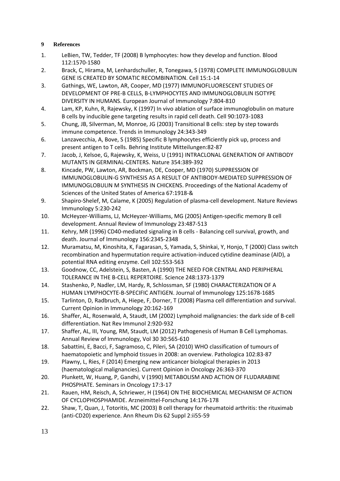## **9 References**

- <span id="page-13-0"></span>1. LeBien, TW, Tedder, TF (2008) B lymphocytes: how they develop and function. Blood 112:1570-1580
- <span id="page-13-1"></span>2. Brack, C, Hirama, M, Lenhardschuller, R, Tonegawa, S (1978) COMPLETE IMMUNOGLOBULIN GENE IS CREATED BY SOMATIC RECOMBINATION. Cell 15:1-14
- <span id="page-13-2"></span>3. Gathings, WE, Lawton, AR, Cooper, MD (1977) IMMUNOFLUORESCENT STUDIES OF DEVELOPMENT OF PRE-B CELLS, B-LYMPHOCYTES AND IMMUNOGLOBULIN ISOTYPE DIVERSITY IN HUMANS. European Journal of Immunology 7:804-810
- <span id="page-13-3"></span>4. Lam, KP, Kuhn, R, Rajewsky, K (1997) In vivo ablation of surface immunoglobulin on mature B cells by inducible gene targeting results in rapid cell death. Cell 90:1073-1083
- <span id="page-13-4"></span>5. Chung, JB, Silverman, M, Monroe, JG (2003) Transitional B cells: step by step towards immune competence. Trends in Immunology 24:343-349
- <span id="page-13-5"></span>6. Lanzavecchia, A, Bove, S (1985) Specific B lymphocytes efficiently pick up, process and present antigen to T cells. Behring Institute Mitteilungen:82-87
- <span id="page-13-6"></span>7. Jacob, J, Kelsoe, G, Rajewsky, K, Weiss, U (1991) INTRACLONAL GENERATION OF ANTIBODY MUTANTS IN GERMINAL-CENTERS. Nature 354:389-392
- <span id="page-13-7"></span>8. Kincade, PW, Lawton, AR, Bockman, DE, Cooper, MD (1970) SUPPRESSION OF IMMUNOGLOBULIN-G SYNTHESIS AS A RESULT OF ANTIBODY-MEDIATED SUPPRESSION OF IMMUNOGLOBULIN M SYNTHESIS IN CHICKENS. Proceedings of the National Academy of Sciences of the United States of America 67:1918-&
- <span id="page-13-8"></span>9. Shapiro-Shelef, M, Calame, K (2005) Regulation of plasma-cell development. Nature Reviews Immunology 5:230-242
- <span id="page-13-9"></span>10. McHeyzer-Williams, LJ, McHeyzer-Williams, MG (2005) Antigen-specific memory B cell development. Annual Review of Immunology 23:487-513
- <span id="page-13-10"></span>11. Kehry, MR (1996) CD40-mediated signaling in B cells - Balancing cell survival, growth, and death. Journal of Immunology 156:2345-2348
- <span id="page-13-11"></span>12. Muramatsu, M, Kinoshita, K, Fagarasan, S, Yamada, S, Shinkai, Y, Honjo, T (2000) Class switch recombination and hypermutation require activation-induced cytidine deaminase (AID), a potential RNA editing enzyme. Cell 102:553-563
- <span id="page-13-12"></span>13. Goodnow, CC, Adelstein, S, Basten, A (1990) THE NEED FOR CENTRAL AND PERIPHERAL TOLERANCE IN THE B-CELL REPERTOIRE. Science 248:1373-1379
- <span id="page-13-13"></span>14. Stashenko, P, Nadler, LM, Hardy, R, Schlossman, SF (1980) CHARACTERIZATION OF A HUMAN LYMPHOCYTE-B-SPECIFIC ANTIGEN. Journal of Immunology 125:1678-1685
- <span id="page-13-14"></span>15. Tarlinton, D, Radbruch, A, Hiepe, F, Dorner, T (2008) Plasma cell differentiation and survival. Current Opinion in Immunology 20:162-169
- <span id="page-13-15"></span>16. Shaffer, AL, Rosenwald, A, Staudt, LM (2002) Lymphoid malignancies: the dark side of B-cell differentiation. Nat Rev Immunol 2:920-932
- <span id="page-13-16"></span>17. Shaffer, AL, III, Young, RM, Staudt, LM (2012) Pathogenesis of Human B Cell Lymphomas. Annual Review of Immunology, Vol 30 30:565-610
- <span id="page-13-17"></span>18. Sabattini, E, Bacci, F, Sagramoso, C, Pileri, SA (2010) WHO classification of tumours of haematopoietic and lymphoid tissues in 2008: an overview. Pathologica 102:83-87
- <span id="page-13-18"></span>19. Plawny, L, Ries, F (2014) Emerging new anticancer biological therapies in 2013 (haematological malignancies). Current Opinion in Oncology 26:363-370
- <span id="page-13-19"></span>20. Plunkett, W, Huang, P, Gandhi, V (1990) METABOLISM AND ACTION OF FLUDARABINE PHOSPHATE. Seminars in Oncology 17:3-17
- <span id="page-13-20"></span>21. Rauen, HM, Reisch, A, Schriewer, H (1964) ON THE BIOCHEMICAL MECHANISM OF ACTION OF CYCLOPHOSPHAMIDE. Arzneimittel-Forschung 14:176-178
- <span id="page-13-21"></span>22. Shaw, T, Quan, J, Totoritis, MC (2003) B cell therapy for rheumatoid arthritis: the rituximab (anti-CD20) experience. Ann Rheum Dis 62 Suppl 2:ii55-59
- 13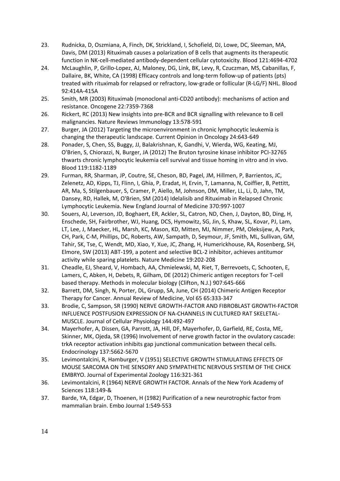- <span id="page-14-0"></span>23. Rudnicka, D, Oszmiana, A, Finch, DK, Strickland, I, Schofield, DJ, Lowe, DC, Sleeman, MA, Davis, DM (2013) Rituximab causes a polarization of B cells that augments its therapeutic function in NK-cell-mediated antibody-dependent cellular cytotoxicity. Blood 121:4694-4702
- <span id="page-14-1"></span>24. McLaughlin, P, Grillo-Lopez, AJ, Maloney, DG, Link, BK, Levy, R, Czuczman, MS, Cabanillas, F, Dallaire, BK, White, CA (1998) Efficacy controls and long-term follow-up of patients (pts) treated with rituximab for relapsed or refractory, low-grade or follicular (R-LG/F) NHL. Blood 92:414A-415A
- <span id="page-14-2"></span>25. Smith, MR (2003) Rituximab (monoclonal anti-CD20 antibody): mechanisms of action and resistance. Oncogene 22:7359-7368
- <span id="page-14-3"></span>26. Rickert, RC (2013) New insights into pre-BCR and BCR signalling with relevance to B cell malignancies. Nature Reviews Immunology 13:578-591
- <span id="page-14-4"></span>27. Burger, JA (2012) Targeting the microenvironment in chronic lymphocytic leukemia is changing the therapeutic landscape. Current Opinion in Oncology 24:643-649
- <span id="page-14-5"></span>28. Ponader, S, Chen, SS, Buggy, JJ, Balakrishnan, K, Gandhi, V, Wierda, WG, Keating, MJ, O'Brien, S, Chiorazzi, N, Burger, JA (2012) The Bruton tyrosine kinase inhibitor PCI-32765 thwarts chronic lymphocytic leukemia cell survival and tissue homing in vitro and in vivo. Blood 119:1182-1189
- <span id="page-14-6"></span>29. Furman, RR, Sharman, JP, Coutre, SE, Cheson, BD, Pagel, JM, Hillmen, P, Barrientos, JC, Zelenetz, AD, Kipps, TJ, Flinn, I, Ghia, P, Eradat, H, Ervin, T, Lamanna, N, Coiffier, B, Pettitt, AR, Ma, S, Stilgenbauer, S, Cramer, P, Aiello, M, Johnson, DM, Miller, LL, Li, D, Jahn, TM, Dansey, RD, Hallek, M, O'Brien, SM (2014) Idelalisib and Rituximab in Relapsed Chronic Lymphocytic Leukemia. New England Journal of Medicine 370:997-1007
- <span id="page-14-7"></span>30. Souers, AJ, Leverson, JD, Boghaert, ER, Ackler, SL, Catron, ND, Chen, J, Dayton, BD, Ding, H, Enschede, SH, Fairbrother, WJ, Huang, DCS, Hymowitz, SG, Jin, S, Khaw, SL, Kovar, PJ, Lam, LT, Lee, J, Maecker, HL, Marsh, KC, Mason, KD, Mitten, MJ, Nimmer, PM, Oleksijew, A, Park, CH, Park, C-M, Phillips, DC, Roberts, AW, Sampath, D, Seymour, JF, Smith, ML, Sullivan, GM, Tahir, SK, Tse, C, Wendt, MD, Xiao, Y, Xue, JC, Zhang, H, Humerickhouse, RA, Rosenberg, SH, Elmore, SW (2013) ABT-199, a potent and selective BCL-2 inhibitor, achieves antitumor activity while sparing platelets. Nature Medicine 19:202-208
- <span id="page-14-8"></span>31. Cheadle, EJ, Sheard, V, Hombach, AA, Chmielewski, M, Riet, T, Berrevoets, C, Schooten, E, Lamers, C, Abken, H, Debets, R, Gilham, DE (2012) Chimeric antigen receptors for T-cell based therapy. Methods in molecular biology (Clifton, N.J.) 907:645-666
- <span id="page-14-9"></span>32. Barrett, DM, Singh, N, Porter, DL, Grupp, SA, June, CH (2014) Chimeric Antigen Receptor Therapy for Cancer. Annual Review of Medicine, Vol 65 65:333-347
- <span id="page-14-10"></span>33. Brodie, C, Sampson, SR (1990) NERVE GROWTH-FACTOR AND FIBROBLAST GROWTH-FACTOR INFLUENCE POSTFUSION EXPRESSION OF NA-CHANNELS IN CULTURED RAT SKELETAL-MUSCLE. Journal of Cellular Physiology 144:492-497
- <span id="page-14-11"></span>34. Mayerhofer, A, Dissen, GA, Parrott, JA, Hill, DF, Mayerhofer, D, Garfield, RE, Costa, ME, Skinner, MK, Ojeda, SR (1996) Involvement of nerve growth factor in the ovulatory cascade: trkA receptor activation inhibits gap junctional communication between thecal cells. Endocrinology 137:5662-5670
- <span id="page-14-12"></span>35. Levimontalcini, R, Hamburger, V (1951) SELECTIVE GROWTH STIMULATING EFFECTS OF MOUSE SARCOMA ON THE SENSORY AND SYMPATHETIC NERVOUS SYSTEM OF THE CHICK EMBRYO. Journal of Experimental Zoology 116:321-361
- <span id="page-14-13"></span>36. Levimontalcini, R (1964) NERVE GROWTH FACTOR. Annals of the New York Academy of Sciences 118:149-&
- <span id="page-14-14"></span>37. Barde, YA, Edgar, D, Thoenen, H (1982) Purification of a new neurotrophic factor from mammalian brain. Embo Journal 1:549-553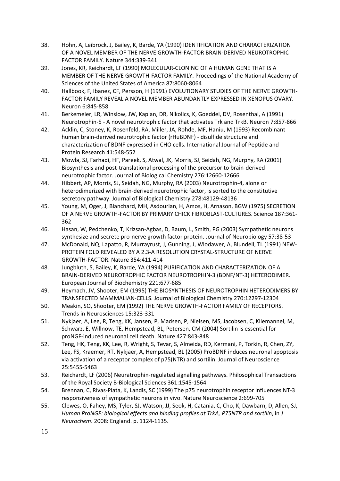- 38. Hohn, A, Leibrock, J, Bailey, K, Barde, YA (1990) IDENTIFICATION AND CHARACTERIZATION OF A NOVEL MEMBER OF THE NERVE GROWTH-FACTOR BRAIN-DERIVED NEUROTROPHIC FACTOR FAMILY. Nature 344:339-341
- 39. Jones, KR, Reichardt, LF (1990) MOLECULAR-CLONING OF A HUMAN GENE THAT IS A MEMBER OF THE NERVE GROWTH-FACTOR FAMILY. Proceedings of the National Academy of Sciences of the United States of America 87:8060-8064
- 40. Hallbook, F, Ibanez, CF, Persson, H (1991) EVOLUTIONARY STUDIES OF THE NERVE GROWTH-FACTOR FAMILY REVEAL A NOVEL MEMBER ABUNDANTLY EXPRESSED IN XENOPUS OVARY. Neuron 6:845-858
- 41. Berkemeier, LR, Winslow, JW, Kaplan, DR, Nikolics, K, Goeddel, DV, Rosenthal, A (1991) Neurotrophin-5 - A novel neurotrophic factor that activates Trk and TrkB. Neuron 7:857-866
- <span id="page-15-0"></span>42. Acklin, C, Stoney, K, Rosenfeld, RA, Miller, JA, Rohde, MF, Haniu, M (1993) Recombinant human brain-derived neurotrophic factor (rHuBDNF) - disulfide structure and characterization of BDNF expressed in CHO cells. International Journal of Peptide and Protein Research 41:548-552
- <span id="page-15-1"></span>43. Mowla, SJ, Farhadi, HF, Pareek, S, Atwal, JK, Morris, SJ, Seidah, NG, Murphy, RA (2001) Biosynthesis and post-translational processing of the precursor to brain-derived neurotrophic factor. Journal of Biological Chemistry 276:12660-12666
- <span id="page-15-2"></span>44. Hibbert, AP, Morris, SJ, Seidah, NG, Murphy, RA (2003) Neurotrophin-4, alone or heterodimerized with brain-derived neurotrophic factor, is sorted to the constitutive secretory pathway. Journal of Biological Chemistry 278:48129-48136
- 45. Young, M, Oger, J, Blanchard, MH, Asdourian, H, Amos, H, Arnason, BGW (1975) SECRETION OF A NERVE GROWTH-FACTOR BY PRIMARY CHICK FIBROBLAST-CULTURES. Science 187:361- 362
- 46. Hasan, W, Pedchenko, T, Krizsan-Agbas, D, Baum, L, Smith, PG (2003) Sympathetic neurons synthesize and secrete pro-nerve growth factor protein. Journal of Neurobiology 57:38-53
- <span id="page-15-3"></span>47. McDonald, NQ, Lapatto, R, Murrayrust, J, Gunning, J, Wlodawer, A, Blundell, TL (1991) NEW-PROTEIN FOLD REVEALED BY A 2.3-A RESOLUTION CRYSTAL-STRUCTURE OF NERVE GROWTH-FACTOR. Nature 354:411-414
- <span id="page-15-4"></span>48. Jungbluth, S, Bailey, K, Barde, YA (1994) PURIFICATION AND CHARACTERIZATION OF A BRAIN-DERIVED NEUROTROPHIC FACTOR NEUROTROPHIN-3 (BDNF/NT-3) HETERODIMER. European Journal of Biochemistry 221:677-685
- <span id="page-15-5"></span>49. Heymach, JV, Shooter, EM (1995) THE BIOSYNTHESIS OF NEUROTROPHIN HETERODIMERS BY TRANSFECTED MAMMALIAN-CELLS. Journal of Biological Chemistry 270:12297-12304
- <span id="page-15-6"></span>50. Meakin, SO, Shooter, EM (1992) THE NERVE GROWTH-FACTOR FAMILY OF RECEPTORS. Trends in Neurosciences 15:323-331
- <span id="page-15-7"></span>51. Nykjaer, A, Lee, R, Teng, KK, Jansen, P, Madsen, P, Nielsen, MS, Jacobsen, C, Kliemannel, M, Schwarz, E, Willnow, TE, Hempstead, BL, Petersen, CM (2004) Sortilin is essential for proNGF-induced neuronal cell death. Nature 427:843-848
- <span id="page-15-8"></span>52. Teng, HK, Teng, KK, Lee, R, Wright, S, Tevar, S, Almeida, RD, Kermani, P, Torkin, R, Chen, ZY, Lee, FS, Kraemer, RT, Nykjaer, A, Hempstead, BL (2005) ProBDNF induces neuronal apoptosis via activation of a receptor complex of p75(NTR) and sortilin. Journal of Neuroscience 25:5455-5463
- <span id="page-15-9"></span>53. Reichardt, LF (2006) Neuratrophin-regulated signalling pathways. Philosophical Transactions of the Royal Society B-Biological Sciences 361:1545-1564
- <span id="page-15-10"></span>54. Brennan, C, Rivas-Plata, K, Landis, SC (1999) The p75 neurotrophin receptor influences NT-3 responsiveness of sympathetic neurons in vivo. Nature Neuroscience 2:699-705
- <span id="page-15-11"></span>55. Clewes, O, Fahey, MS, Tyler, SJ, Watson, JJ, Seok, H, Catania, C, Cho, K, Dawbarn, D, Allen, SJ, *Human ProNGF: biological effects and binding profiles at TrkA, P75NTR and sortilin*, in *J Neurochem*. 2008: England. p. 1124-1135.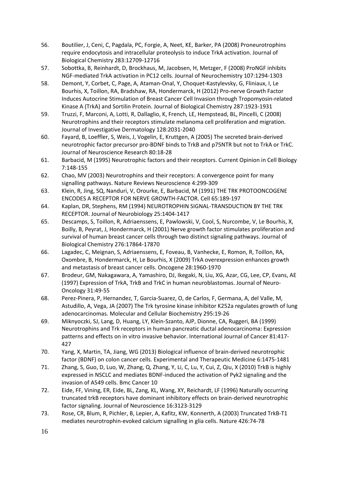- <span id="page-16-0"></span>56. Boutilier, J, Ceni, C, Pagdala, PC, Forgie, A, Neet, KE, Barker, PA (2008) Proneurotrophins require endocytosis and intracellular proteolysis to induce TrkA activation. Journal of Biological Chemistry 283:12709-12716
- <span id="page-16-1"></span>57. Sobottka, B, Reinhardt, D, Brockhaus, M, Jacobsen, H, Metzger, F (2008) ProNGF inhibits NGF-mediated TrkA activation in PC12 cells. Journal of Neurochemistry 107:1294-1303
- <span id="page-16-2"></span>58. Demont, Y, Corbet, C, Page, A, Ataman-Onal, Y, Choquet-Kastylevsky, G, Fliniaux, I, Le Bourhis, X, Toillon, RA, Bradshaw, RA, Hondermarck, H (2012) Pro-nerve Growth Factor Induces Autocrine Stimulation of Breast Cancer Cell Invasion through Tropomyosin-related Kinase A (TrkA) and Sortilin Protein. Journal of Biological Chemistry 287:1923-1931
- <span id="page-16-3"></span>59. Truzzi, F, Marconi, A, Lotti, R, Dallaglio, K, French, LE, Hempstead, BL, Pincelli, C (2008) Neurotrophins and their receptors stimulate melanoma cell proliferation and migration. Journal of Investigative Dermatology 128:2031-2040
- <span id="page-16-4"></span>60. Fayard, B, Loeffler, S, Weis, J, Vogelin, E, Kruttgen, A (2005) The secreted brain-derived neurotrophic factor precursor pro-BDNF binds to TrkB and p75NTR but not to TrkA or TrkC. Journal of Neuroscience Research 80:18-28
- <span id="page-16-5"></span>61. Barbacid, M (1995) Neurotrophic factors and their receptors. Current Opinion in Cell Biology 7:148-155
- <span id="page-16-6"></span>62. Chao, MV (2003) Neurotrophins and their receptors: A convergence point for many signalling pathways. Nature Reviews Neuroscience 4:299-309
- <span id="page-16-7"></span>63. Klein, R, Jing, SQ, Nanduri, V, Orourke, E, Barbacid, M (1991) THE TRK PROTOONCOGENE ENCODES A RECEPTOR FOR NERVE GROWTH-FACTOR. Cell 65:189-197
- <span id="page-16-8"></span>64. Kaplan, DR, Stephens, RM (1994) NEUROTROPHIN SIGNAL-TRANSDUCTION BY THE TRK RECEPTOR. Journal of Neurobiology 25:1404-1417
- <span id="page-16-9"></span>65. Descamps, S, Toillon, R, Adriaenssens, E, Pawlowski, V, Cool, S, Nurcombe, V, Le Bourhis, X, Boilly, B, Peyrat, J, Hondermarck, H (2001) Nerve growth factor stimulates proliferation and survival of human breast cancer cells through two distinct signaling pathways. Journal of Biological Chemistry 276:17864-17870
- 66. Lagadec, C, Meignan, S, Adriaenssens, E, Foveau, B, Vanhecke, E, Romon, R, Toillon, RA, Oxombre, B, Hondermarck, H, Le Bourhis, X (2009) TrkA overexpression enhances growth and metastasis of breast cancer cells. Oncogene 28:1960-1970
- 67. Brodeur, GM, Nakagawara, A, Yamashiro, DJ, Ikegaki, N, Liu, XG, Azar, CG, Lee, CP, Evans, AE (1997) Expression of TrkA, TrkB and TrkC in human neuroblastomas. Journal of Neuro-Oncology 31:49-55
- 68. Perez-Pinera, P, Hernandez, T, Garcia-Suarez, O, de Carlos, F, Germana, A, del Valle, M, Astudillo, A, Vega, JA (2007) The Trk tyrosine kinase inhibitor K252a regulates growth of lung adenocarcinomas. Molecular and Cellular Biochemistry 295:19-26
- 69. Miknyoczki, SJ, Lang, D, Huang, LY, Klein-Szanto, AJP, Dionne, CA, Ruggeri, BA (1999) Neurotrophins and Trk receptors in human pancreatic ductal adenocarcinoma: Expression patterns and effects on in vitro invasive behavior. International Journal of Cancer 81:417- 427
- 70. Yang, X, Martin, TA, Jiang, WG (2013) Biological influence of brain-derived neurotrophic factor (BDNF) on colon cancer cells. Experimental and Therapeutic Medicine 6:1475-1481
- 71. Zhang, S, Guo, D, Luo, W, Zhang, Q, Zhang, Y, Li, C, Lu, Y, Cui, Z, Qiu, X (2010) TrkB is highly expressed in NSCLC and mediates BDNF-induced the activation of Pyk2 signaling and the invasion of A549 cells. Bmc Cancer 10
- <span id="page-16-10"></span>72. Eide, FF, Vining, ER, Eide, BL, Zang, KL, Wang, XY, Reichardt, LF (1996) Naturally occurring truncated trkB receptors have dominant inhibitory effects on brain-derived neurotrophic factor signaling. Journal of Neuroscience 16:3123-3129
- <span id="page-16-11"></span>73. Rose, CR, Blum, R, Pichler, B, Lepier, A, Kafitz, KW, Konnerth, A (2003) Truncated TrkB-T1 mediates neurotrophin-evoked calcium signalling in glia cells. Nature 426:74-78
- 16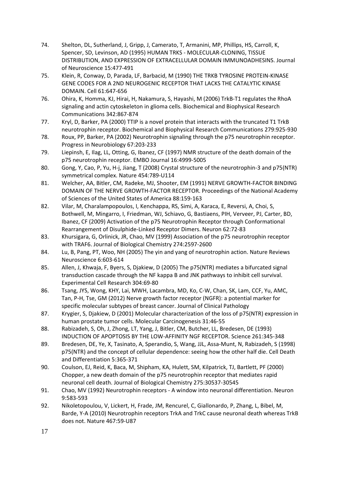- <span id="page-17-0"></span>74. Shelton, DL, Sutherland, J, Gripp, J, Camerato, T, Armanini, MP, Phillips, HS, Carroll, K, Spencer, SD, Levinson, AD (1995) HUMAN TRKS - MOLECULAR-CLONING, TISSUE DISTRIBUTION, AND EXPRESSION OF EXTRACELLULAR DOMAIN IMMUNOADHESINS. Journal of Neuroscience 15:477-491
- <span id="page-17-1"></span>75. Klein, R, Conway, D, Parada, LF, Barbacid, M (1990) THE TRKB TYROSINE PROTEIN-KINASE GENE CODES FOR A 2ND NEUROGENIC RECEPTOR THAT LACKS THE CATALYTIC KINASE DOMAIN. Cell 61:647-656
- <span id="page-17-2"></span>76. Ohira, K, Homma, KJ, Hirai, H, Nakamura, S, Hayashi, M (2006) TrkB-T1 regulates the RhoA signaling and actin cytoskeleton in glioma cells. Biochemical and Biophysical Research Communications 342:867-874
- <span id="page-17-3"></span>77. Kryl, D, Barker, PA (2000) TTIP is a novel protein that interacts with the truncated T1 TrkB neurotrophin receptor. Biochemical and Biophysical Research Communications 279:925-930
- <span id="page-17-4"></span>78. Roux, PP, Barker, PA (2002) Neurotrophin signaling through the p75 neurotrophin receptor. Progress in Neurobiology 67:203-233
- <span id="page-17-5"></span>79. Liepinsh, E, Ilag, LL, Otting, G, Ibanez, CF (1997) NMR structure of the death domain of the p75 neurotrophin receptor. EMBO Journal 16:4999-5005
- 80. Gong, Y, Cao, P, Yu, H-j, Jiang, T (2008) Crystal structure of the neurotrophin-3 and p75(NTR) symmetrical complex. Nature 454:789-U114
- 81. Welcher, AA, Bitler, CM, Radeke, MJ, Shooter, EM (1991) NERVE GROWTH-FACTOR BINDING DOMAIN OF THE NERVE GROWTH-FACTOR RECEPTOR. Proceedings of the National Academy of Sciences of the United States of America 88:159-163
- <span id="page-17-6"></span>82. Vilar, M, Charalampopoulos, I, Kenchappa, RS, Simi, A, Karaca, E, Reversi, A, Choi, S, Bothwell, M, Mingarro, I, Friedman, WJ, Schiavo, G, Bastiaens, PIH, Verveer, PJ, Carter, BD, Ibanez, CF (2009) Activation of the p75 Neurotrophin Receptor through Conformational Rearrangement of Disulphide-Linked Receptor Dimers. Neuron 62:72-83
- <span id="page-17-7"></span>83. Khursigara, G, Orlinick, JR, Chao, MV (1999) Association of the p75 neurotrophin receptor with TRAF6. Journal of Biological Chemistry 274:2597-2600
- <span id="page-17-8"></span>84. Lu, B, Pang, PT, Woo, NH (2005) The yin and yang of neurotrophin action. Nature Reviews Neuroscience 6:603-614
- <span id="page-17-9"></span>85. Allen, J, Khwaja, F, Byers, S, Djakiew, D (2005) The p75(NTR) mediates a bifurcated signal transduction cascade through the NF kappa B and JNK pathways to inhibit cell survival. Experimental Cell Research 304:69-80
- <span id="page-17-10"></span>86. Tsang, JYS, Wong, KHY, Lai, MWH, Lacambra, MD, Ko, C-W, Chan, SK, Lam, CCF, Yu, AMC, Tan, P-H, Tse, GM (2012) Nerve growth factor receptor (NGFR): a potential marker for specific molecular subtypes of breast cancer. Journal of Clinical Pathology
- <span id="page-17-11"></span>87. Krygier, S, Djakiew, D (2001) Molecular characterization of the loss of p75(NTR) expression in human prostate tumor cells. Molecular Carcinogenesis 31:46-55
- <span id="page-17-12"></span>88. Rabizadeh, S, Oh, J, Zhong, LT, Yang, J, Bitler, CM, Butcher, LL, Bredesen, DE (1993) INDUCTION OF APOPTOSIS BY THE LOW-AFFINITY NGF RECEPTOR. Science 261:345-348
- <span id="page-17-13"></span>89. Bredesen, DE, Ye, X, Tasinato, A, Sperandio, S, Wang, JJL, Assa-Munt, N, Rabizadeh, S (1998) p75(NTR) and the concept of cellular dependence: seeing how the other half die. Cell Death and Differentiation 5:365-371
- <span id="page-17-14"></span>90. Coulson, EJ, Reid, K, Baca, M, Shipham, KA, Hulett, SM, Kilpatrick, TJ, Bartlett, PF (2000) Chopper, a new death domain of the p75 neurotrophin receptor that mediates rapid neuronal cell death. Journal of Biological Chemistry 275:30537-30545
- <span id="page-17-15"></span>91. Chao, MV (1992) Neurotrophin receptors - A window into neuronal differentiation. Neuron 9:583-593
- <span id="page-17-16"></span>92. Nikoletopoulou, V, Lickert, H, Frade, JM, Rencurel, C, Giallonardo, P, Zhang, L, Bibel, M, Barde, Y-A (2010) Neurotrophin receptors TrkA and TrkC cause neuronal death whereas TrkB does not. Nature 467:59-U87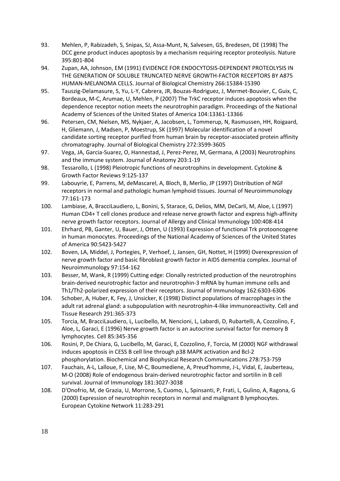- <span id="page-18-0"></span>93. Mehlen, P, Rabizadeh, S, Snipas, SJ, Assa-Munt, N, Salvesen, GS, Bredesen, DE (1998) The DCC gene product induces apoptosis by a mechanism requiring receptor proteolysis. Nature 395:801-804
- <span id="page-18-1"></span>94. Zupan, AA, Johnson, EM (1991) EVIDENCE FOR ENDOCYTOSIS-DEPENDENT PROTEOLYSIS IN THE GENERATION OF SOLUBLE TRUNCATED NERVE GROWTH-FACTOR RECEPTORS BY A875 HUMAN-MELANOMA CELLS. Journal of Biological Chemistry 266:15384-15390
- <span id="page-18-2"></span>95. Tauszig-Delamasure, S, Yu, L-Y, Cabrera, JR, Bouzas-Rodriguez, J, Mermet-Bouvier, C, Guix, C, Bordeaux, M-C, Arumae, U, Mehlen, P (2007) The TrkC receptor induces apoptosis when the dependence receptor notion meets the neurotrophin paradigm. Proceedings of the National Academy of Sciences of the United States of America 104:13361-13366
- <span id="page-18-3"></span>96. Petersen, CM, Nielsen, MS, Nykjaer, A, Jacobsen, L, Tommerup, N, Rasmussen, HH, Roigaard, H, Gliemann, J, Madsen, P, Moestrup, SK (1997) Molecular identification of a novel candidate sorting receptor purified from human brain by receptor-associated protein affinity chromatography. Journal of Biological Chemistry 272:3599-3605
- <span id="page-18-4"></span>97. Vega, JA, Garcia-Suarez, O, Hannestad, J, Perez-Perez, M, Germana, A (2003) Neurotrophins and the immune system. Journal of Anatomy 203:1-19
- <span id="page-18-5"></span>98. Tessarollo, L (1998) Pleiotropic functions of neurotrophins in development. Cytokine & Growth Factor Reviews 9:125-137
- <span id="page-18-6"></span>99. Labouyrie, E, Parrens, M, deMascarel, A, Bloch, B, Merlio, JP (1997) Distribution of NGF receptors in normal and pathologic human lymphoid tissues. Journal of Neuroimmunology 77:161-173
- <span id="page-18-7"></span>100. Lambiase, A, BracciLaudiero, L, Bonini, S, Starace, G, Delios, MM, DeCarli, M, Aloe, L (1997) Human CD4+ T cell clones produce and release nerve growth factor and express high-affinity nerve growth factor receptors. Journal of Allergy and Clinical Immunology 100:408-414
- <span id="page-18-8"></span>101. Ehrhard, PB, Ganter, U, Bauer, J, Otten, U (1993) Expression of functional Trk protooncogene in human monocytes. Proceedings of the National Academy of Sciences of the United States of America 90:5423-5427
- <span id="page-18-9"></span>102. Boven, LA, Middel, J, Portegies, P, Verhoef, J, Jansen, GH, Nottet, H (1999) Overexpression of nerve growth factor and basic fibroblast growth factor in AIDS dementia complex. Journal of Neuroimmunology 97:154-162
- <span id="page-18-12"></span>103. Besser, M, Wank, R (1999) Cutting edge: Clonally restricted production of the neurotrophins brain-derived neurotrophic factor and neurotrophin-3 mRNA by human immune cells and Th1/Th2-polarized expression of their receptors. Journal of Immunology 162:6303-6306
- 104. Schober, A, Huber, K, Fey, J, Unsicker, K (1998) Distinct populations of macrophages in the adult rat adrenal gland: a subpopulation with neurotrophin-4-like immunoreactivity. Cell and Tissue Research 291:365-373
- <span id="page-18-10"></span>105. Torcia, M, BracciLaudiero, L, Lucibello, M, Nencioni, L, Labardi, D, Rubartelli, A, Cozzolino, F, Aloe, L, Garaci, E (1996) Nerve growth factor is an autocrine survival factor for memory B lymphocytes. Cell 85:345-356
- <span id="page-18-11"></span>106. Rosini, P, De Chiara, G, Lucibello, M, Garaci, E, Cozzolino, F, Torcia, M (2000) NGF withdrawal induces apoptosis in CESS B cell line through p38 MAPK activation and Bcl-2 phosphorylation. Biochemical and Biophysical Research Communications 278:753-759
- <span id="page-18-13"></span>107. Fauchais, A-L, Lalloue, F, Lise, M-C, Boumediene, A, Preud'homme, J-L, Vidal, E, Jauberteau, M-O (2008) Role of endogenous brain-derived neurotrophic factor and sortilin in B cell survival. Journal of Immunology 181:3027-3038
- <span id="page-18-14"></span>108. D'Onofrio, M, de Grazia, U, Morrone, S, Cuomo, L, Spinsanti, P, Frati, L, Gulino, A, Ragona, G (2000) Expression of neurotrophin receptors in normal and malignant B lymphocytes. European Cytokine Network 11:283-291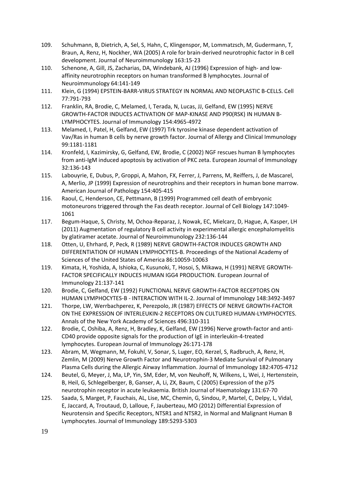- <span id="page-19-0"></span>109. Schuhmann, B, Dietrich, A, Sel, S, Hahn, C, Klingenspor, M, Lommatzsch, M, Gudermann, T, Braun, A, Renz, H, Nockher, WA (2005) A role for brain-derived neurotrophic factor in B cell development. Journal of Neuroimmunology 163:15-23
- <span id="page-19-1"></span>110. Schenone, A, Gill, JS, Zacharias, DA, Windebank, AJ (1996) Expression of high- and lowaffinity neurotrophin receptors on human transformed B lymphocytes. Journal of Neuroimmunology 64:141-149
- <span id="page-19-2"></span>111. Klein, G (1994) EPSTEIN-BARR-VIRUS STRATEGY IN NORMAL AND NEOPLASTIC B-CELLS. Cell 77:791-793
- <span id="page-19-3"></span>112. Franklin, RA, Brodie, C, Melamed, I, Terada, N, Lucas, JJ, Gelfand, EW (1995) NERVE GROWTH-FACTOR INDUCES ACTIVATION OF MAP-KINASE AND P90(RSK) IN HUMAN B-LYMPHOCYTES. Journal of Immunology 154:4965-4972
- <span id="page-19-4"></span>113. Melamed, I, Patel, H, Gelfand, EW (1997) Trk tyrosine kinase dependent activation of Vav/Ras in human B cells by nerve growth factor. Journal of Allergy and Clinical Immunology 99:1181-1181
- <span id="page-19-5"></span>114. Kronfeld, I, Kazimirsky, G, Gelfand, EW, Brodie, C (2002) NGF rescues human B lymphocytes from anti-IgM induced apoptosis by activation of PKC zeta. European Journal of Immunology 32:136-143
- <span id="page-19-6"></span>115. Labouyrie, E, Dubus, P, Groppi, A, Mahon, FX, Ferrer, J, Parrens, M, Reiffers, J, de Mascarel, A, Merlio, JP (1999) Expression of neurotrophins and their receptors in human bone marrow. American Journal of Pathology 154:405-415
- <span id="page-19-7"></span>116. Raoul, C, Henderson, CE, Pettmann, B (1999) Programmed cell death of embryonic motoneurons triggered through the Fas death receptor. Journal of Cell Biology 147:1049- 1061
- <span id="page-19-8"></span>117. Begum-Haque, S, Christy, M, Ochoa-Reparaz, J, Nowak, EC, Mielcarz, D, Hague, A, Kasper, LH (2011) Augmentation of regulatory B cell activity in experimental allergic encephalomyelitis by glatiramer acetate. Journal of Neuroimmunology 232:136-144
- <span id="page-19-9"></span>118. Otten, U, Ehrhard, P, Peck, R (1989) NERVE GROWTH-FACTOR INDUCES GROWTH AND DIFFERENTIATION OF HUMAN LYMPHOCYTES-B. Proceedings of the National Academy of Sciences of the United States of America 86:10059-10063
- <span id="page-19-10"></span>119. Kimata, H, Yoshida, A, Ishioka, C, Kusunoki, T, Hosoi, S, Mikawa, H (1991) NERVE GROWTH-FACTOR SPECIFICALLY INDUCES HUMAN IGG4 PRODUCTION. European Journal of Immunology 21:137-141
- <span id="page-19-11"></span>120. Brodie, C, Gelfand, EW (1992) FUNCTIONAL NERVE GROWTH-FACTOR RECEPTORS ON HUMAN LYMPHOCYTES-B - INTERACTION WITH IL-2. Journal of Immunology 148:3492-3497
- <span id="page-19-12"></span>121. Thorpe, LW, Werrbachperez, K, Perezpolo, JR (1987) EFFECTS OF NERVE GROWTH-FACTOR ON THE EXPRESSION OF INTERLEUKIN-2 RECEPTORS ON CULTURED HUMAN-LYMPHOCYTES. Annals of the New York Academy of Sciences 496:310-311
- <span id="page-19-13"></span>122. Brodie, C, Oshiba, A, Renz, H, Bradley, K, Gelfand, EW (1996) Nerve growth-factor and anti-CD40 provide opposite signals for the production of IgE in interleukin-4-treated lymphocytes. European Journal of Immunology 26:171-178
- <span id="page-19-14"></span>123. Abram, M, Wegmann, M, Fokuhl, V, Sonar, S, Luger, EO, Kerzel, S, Radbruch, A, Renz, H, Zemlin, M (2009) Nerve Growth Factor and Neurotrophin-3 Mediate Survival of Pulmonary Plasma Cells during the Allergic Airway Inflammation. Journal of Immunology 182:4705-4712
- <span id="page-19-15"></span>124. Beutel, G, Meyer, J, Ma, LP, Yin, SM, Eder, M, von Neuhoff, N, Wilkens, L, Wei, J, Hertenstein, B, Heil, G, Schlegelberger, B, Ganser, A, Li, ZX, Baum, C (2005) Expression of the p75 neurotrophin receptor in acute leukaemia. British Journal of Haematology 131:67-70
- <span id="page-19-16"></span>125. Saada, S, Marget, P, Fauchais, AL, Lise, MC, Chemin, G, Sindou, P, Martel, C, Delpy, L, Vidal, E, Jaccard, A, Troutaud, D, Lalloue, F, Jauberteau, MO (2012) Differential Expression of Neurotensin and Specific Receptors, NTSR1 and NTSR2, in Normal and Malignant Human B Lymphocytes. Journal of Immunology 189:5293-5303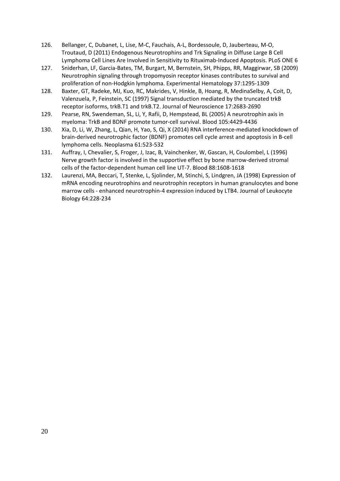- <span id="page-20-0"></span>126. Bellanger, C, Dubanet, L, Lise, M-C, Fauchais, A-L, Bordessoule, D, Jauberteau, M-O, Troutaud, D (2011) Endogenous Neurotrophins and Trk Signaling in Diffuse Large B Cell Lymphoma Cell Lines Are Involved in Sensitivity to Rituximab-Induced Apoptosis. PLoS ONE 6
- <span id="page-20-1"></span>127. Sniderhan, LF, Garcia-Bates, TM, Burgart, M, Bernstein, SH, Phipps, RR, Maggirwar, SB (2009) Neurotrophin signaling through tropomyosin receptor kinases contributes to survival and proliferation of non-Hodgkin lymphoma. Experimental Hematology 37:1295-1309
- <span id="page-20-2"></span>128. Baxter, GT, Radeke, MJ, Kuo, RC, Makrides, V, Hinkle, B, Hoang, R, MedinaSelby, A, Coit, D, Valenzuela, P, Feinstein, SC (1997) Signal transduction mediated by the truncated trkB receptor isoforms, trkB.T1 and trkB.T2. Journal of Neuroscience 17:2683-2690
- <span id="page-20-3"></span>129. Pearse, RN, Swendeman, SL, Li, Y, Rafii, D, Hempstead, BL (2005) A neurotrophin axis in myeloma: TrkB and BDNF promote tumor-cell survival. Blood 105:4429-4436
- <span id="page-20-4"></span>130. Xia, D, Li, W, Zhang, L, Qian, H, Yao, S, Qi, X (2014) RNA interference-mediated knockdown of brain-derived neurotrophic factor (BDNF) promotes cell cycle arrest and apoptosis in B-cell lymphoma cells. Neoplasma 61:523-532
- <span id="page-20-5"></span>131. Auffray, I, Chevalier, S, Froger, J, Izac, B, Vainchenker, W, Gascan, H, Coulombel, L (1996) Nerve growth factor is involved in the supportive effect by bone marrow-derived stromal cells of the factor-dependent human cell line UT-7. Blood 88:1608-1618
- <span id="page-20-6"></span>132. Laurenzi, MA, Beccari, T, Stenke, L, Sjolinder, M, Stinchi, S, Lindgren, JA (1998) Expression of mRNA encoding neurotrophins and neurotrophin receptors in human granulocytes and bone marrow cells - enhanced neurotrophin-4 expression induced by LTB4. Journal of Leukocyte Biology 64:228-234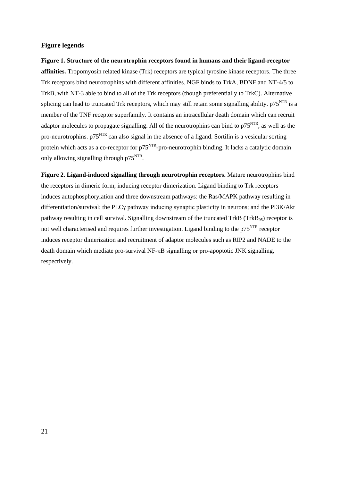## **Figure legends**

**Figure 1. Structure of the neurotrophin receptors found in humans and their ligand-receptor affinities.** Tropomyosin related kinase (Trk) receptors are typical tyrosine kinase receptors. The three Trk receptors bind neurotrophins with different affinities. NGF binds to TrkA, BDNF and NT-4/5 to TrkB, with NT-3 able to bind to all of the Trk receptors (though preferentially to TrkC). Alternative splicing can lead to truncated Trk receptors, which may still retain some signalling ability.  $p75<sup>NTR</sup>$  is a member of the TNF receptor superfamily. It contains an intracellular death domain which can recruit adaptor molecules to propagate signalling. All of the neurotrophins can bind to  $p75<sup>NTR</sup>$ , as well as the pro-neurotrophins. p75NTR can also signal in the absence of a ligand. Sortilin is a vesicular sorting protein which acts as a co-receptor for  $p75<sup>NTR</sup>$ -pro-neurotrophin binding. It lacks a catalytic domain only allowing signalling through  $p75<sup>NTR</sup>$ .

**Figure 2. Ligand-induced signalling through neurotrophin receptors.** Mature neurotrophins bind the receptors in dimeric form, inducing receptor dimerization. Ligand binding to Trk receptors induces autophosphorylation and three downstream pathways: the Ras/MAPK pathway resulting in differentiation/survival; the PLCγ pathway inducing synaptic plasticity in neurons; and the PI3K/Akt pathway resulting in cell survival. Signalling downstream of the truncated TrkB (TrkB<sub>95</sub>) receptor is not well characterised and requires further investigation. Ligand binding to the  $p75<sup>NTR</sup>$  receptor induces receptor dimerization and recruitment of adaptor molecules such as RIP2 and NADE to the death domain which mediate pro-survival NF-κB signalling or pro-apoptotic JNK signalling, respectively.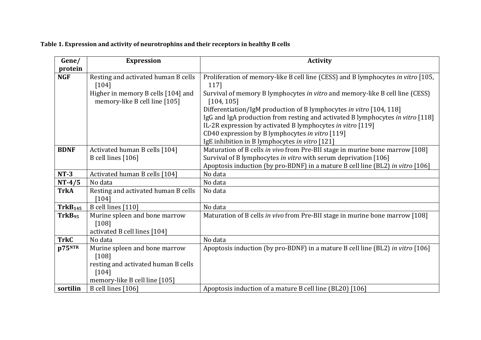# **Table 1. Expression and activity of neurotrophins and their receptors in healthy B cells**

| Gene/               | <b>Expression</b>                   | <b>Activity</b>                                                                  |
|---------------------|-------------------------------------|----------------------------------------------------------------------------------|
| protein             |                                     |                                                                                  |
| <b>NGF</b>          | Resting and activated human B cells | Proliferation of memory-like B cell line (CESS) and B lymphocytes in vitro [105, |
|                     | $[104]$                             | 117]                                                                             |
|                     | Higher in memory B cells [104] and  | Survival of memory B lymphocytes in vitro and memory-like B cell line (CESS)     |
|                     | memory-like B cell line [105]       | [104, 105]                                                                       |
|                     |                                     | Differentiation/IgM production of B lymphocytes in vitro [104, 118]              |
|                     |                                     | IgG and IgA production from resting and activated B lymphocytes in vitro [118]   |
|                     |                                     | IL-2R expression by activated B lymphocytes in vitro [119]                       |
|                     |                                     | CD40 expression by B lymphocytes in vitro [119]                                  |
|                     |                                     | IgE inhibition in B lymphocytes in vitro [121]                                   |
| <b>BDNF</b>         | Activated human B cells [104]       | Maturation of B cells in vivo from Pre-BII stage in murine bone marrow [108]     |
|                     | B cell lines [106]                  | Survival of B lymphocytes in vitro with serum deprivation [106]                  |
|                     |                                     | Apoptosis induction (by pro-BDNF) in a mature B cell line (BL2) in vitro [106]   |
| $NT-3$              | Activated human B cells [104]       | No data                                                                          |
| $NT-4/5$            | No data                             | No data                                                                          |
| <b>TrkA</b>         | Resting and activated human B cells | No data                                                                          |
|                     | $[104]$                             |                                                                                  |
| TrkB <sub>145</sub> | B cell lines [110]                  | No data                                                                          |
| TrkB <sub>95</sub>  | Murine spleen and bone marrow       | Maturation of B cells in vivo from Pre-BII stage in murine bone marrow [108]     |
|                     | $[108]$                             |                                                                                  |
|                     | activated B cell lines [104]        |                                                                                  |
| <b>TrkC</b>         | No data                             | No data                                                                          |
| p75 <sup>NTR</sup>  | Murine spleen and bone marrow       | Apoptosis induction (by pro-BDNF) in a mature B cell line (BL2) in vitro [106]   |
|                     | [108]                               |                                                                                  |
|                     | resting and activated human B cells |                                                                                  |
|                     | $[104]$                             |                                                                                  |
|                     | memory-like B cell line [105]       |                                                                                  |
| sortilin            | B cell lines [106]                  | Apoptosis induction of a mature B cell line (BL20) [106]                         |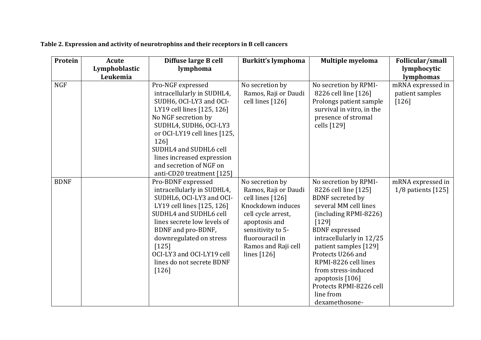| Protein     | <b>Acute</b>  | Diffuse large B cell         | <b>Burkitt's lymphoma</b> | <b>Multiple myeloma</b>              | Follicular/small     |
|-------------|---------------|------------------------------|---------------------------|--------------------------------------|----------------------|
|             | Lymphoblastic | lymphoma                     |                           |                                      | lymphocytic          |
|             | Leukemia      |                              |                           |                                      | lymphomas            |
| <b>NGF</b>  |               | Pro-NGF expressed            | No secretion by           | No secretion by RPMI-                | mRNA expressed in    |
|             |               | intracellularly in SUDHL4,   | Ramos, Raji or Daudi      | 8226 cell line [126]                 | patient samples      |
|             |               | SUDH6, OCI-LY3 and OCI-      | cell lines [126]          | Prolongs patient sample              | $[126]$              |
|             |               | LY19 cell lines [125, 126]   |                           | survival in vitro, in the            |                      |
|             |               | No NGF secretion by          |                           | presence of stromal                  |                      |
|             |               | SUDHL4, SUDH6, OCI-LY3       |                           | cells [129]                          |                      |
|             |               | or OCI-LY19 cell lines [125, |                           |                                      |                      |
|             |               | 126]                         |                           |                                      |                      |
|             |               | SUDHL4 and SUDHL6 cell       |                           |                                      |                      |
|             |               | lines increased expression   |                           |                                      |                      |
|             |               | and secretion of NGF on      |                           |                                      |                      |
|             |               | anti-CD20 treatment [125]    |                           |                                      |                      |
| <b>BDNF</b> |               | Pro-BDNF expressed           | No secretion by           | No secretion by RPMI-                | mRNA expressed in    |
|             |               | intracellularly in SUDHL4,   | Ramos, Raji or Daudi      | 8226 cell line [125]                 | $1/8$ patients [125] |
|             |               | SUDHL6, OCI-LY3 and OCI-     | cell lines [126]          | <b>BDNF</b> secreted by              |                      |
|             |               | LY19 cell lines [125, 126]   | Knockdown induces         | several MM cell lines                |                      |
|             |               | SUDHL4 and SUDHL6 cell       | cell cycle arrest,        | $(including RPMI-8226)$              |                      |
|             |               | lines secrete low levels of  | apoptosis and             | [129]                                |                      |
|             |               | BDNF and pro-BDNF,           | sensitivity to 5-         | <b>BDNF</b> expressed                |                      |
|             |               | downregulated on stress      | fluorouracil in           | intracellularly in 12/25             |                      |
|             |               | $[125]$                      | Ramos and Raji cell       | patient samples [129]                |                      |
|             |               | OCI-LY3 and OCI-LY19 cell    | lines $[126]$             | Protects U266 and                    |                      |
|             |               | lines do not secrete BDNF    |                           | RPMI-8226 cell lines                 |                      |
|             |               | $[126]$                      |                           | from stress-induced                  |                      |
|             |               |                              |                           | apoptosis $[106]$                    |                      |
|             |               |                              |                           | Protects RPMI-8226 cell<br>line from |                      |
|             |               |                              |                           |                                      |                      |
|             |               |                              |                           | dexamethosone-                       |                      |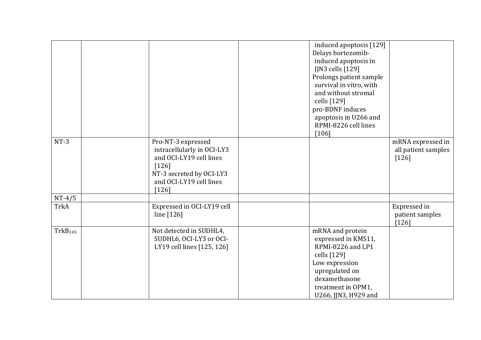|                     |                                                                                                                                                          | induced apoptosis [129]<br>Delays bortezomib-<br>induced apoptosis in<br>JJN3 cells [129]<br>Prolongs patient sample<br>survival in vitro, with<br>and without stromal<br>cells [129]<br>pro-BDNF induces<br>apoptosis in U266 and<br>RPMI-8226 cell lines<br>$[106]$ |                                                     |
|---------------------|----------------------------------------------------------------------------------------------------------------------------------------------------------|-----------------------------------------------------------------------------------------------------------------------------------------------------------------------------------------------------------------------------------------------------------------------|-----------------------------------------------------|
| $NT-3$              | Pro-NT-3 expressed<br>intracellularly in OCI-LY3<br>and OCI-LY19 cell lines<br>$[126]$<br>NT-3 secreted by OCI-LY3<br>and OCI-LY19 cell lines<br>$[126]$ |                                                                                                                                                                                                                                                                       | mRNA expressed in<br>all patient samples<br>$[126]$ |
| $NT-4/5$            |                                                                                                                                                          |                                                                                                                                                                                                                                                                       |                                                     |
| <b>TrkA</b>         | Expressed in OCI-LY19 cell<br>line $[126]$                                                                                                               |                                                                                                                                                                                                                                                                       | Expressed in<br>patient samples<br>$[126]$          |
| TrkB <sub>145</sub> | Not detected in SUDHL4,<br>SUDHL6, OCI-LY3 or OCI-<br>LY19 cell lines [125, 126]                                                                         | mRNA and protein<br>expressed in KMS11,<br>RPMI-8226 and LP1<br>cells [129]<br>Low expression<br>upregulated on<br>dexamethasone<br>treatment in OPM1,<br>U266, JJN3, H929 and                                                                                        |                                                     |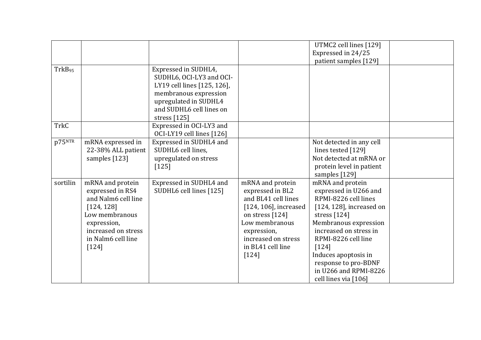|                    |                                                                                                                                                                    |                                                                                                                                                                                 |                                                                                                                                                                                                    | UTMC2 cell lines [129]<br>Expressed in 24/25<br>patient samples [129]                                                                                                                                                                                                                                    |  |
|--------------------|--------------------------------------------------------------------------------------------------------------------------------------------------------------------|---------------------------------------------------------------------------------------------------------------------------------------------------------------------------------|----------------------------------------------------------------------------------------------------------------------------------------------------------------------------------------------------|----------------------------------------------------------------------------------------------------------------------------------------------------------------------------------------------------------------------------------------------------------------------------------------------------------|--|
| TrkB <sub>95</sub> |                                                                                                                                                                    | Expressed in SUDHL4,<br>SUDHL6, OCI-LY3 and OCI-<br>LY19 cell lines [125, 126],<br>membranous expression<br>upregulated in SUDHL4<br>and SUDHL6 cell lines on<br>stress $[125]$ |                                                                                                                                                                                                    |                                                                                                                                                                                                                                                                                                          |  |
| <b>TrkC</b>        |                                                                                                                                                                    | Expressed in OCI-LY3 and<br>OCI-LY19 cell lines [126]                                                                                                                           |                                                                                                                                                                                                    |                                                                                                                                                                                                                                                                                                          |  |
| p75NTR             | mRNA expressed in<br>22-38% ALL patient<br>samples [123]                                                                                                           | Expressed in SUDHL4 and<br>SUDHL6 cell lines.<br>upregulated on stress<br>$[125]$                                                                                               |                                                                                                                                                                                                    | Not detected in any cell<br>lines tested [129]<br>Not detected at mRNA or<br>protein level in patient<br>samples [129]                                                                                                                                                                                   |  |
| sortilin           | mRNA and protein<br>expressed in RS4<br>and Nalm6 cell line<br>[124, 128]<br>Low membranous<br>expression,<br>increased on stress<br>in Nalm6 cell line<br>$[124]$ | Expressed in SUDHL4 and<br>SUDHL6 cell lines [125]                                                                                                                              | mRNA and protein<br>expressed in BL2<br>and BL41 cell lines<br>$[124, 106]$ , increased<br>on stress [124]<br>Low membranous<br>expression,<br>increased on stress<br>in BL41 cell line<br>$[124]$ | mRNA and protein<br>expressed in U266 and<br>RPMI-8226 cell lines<br>$[124, 128]$ , increased on<br>stress $[124]$<br>Membranous expression<br>increased on stress in<br>RPMI-8226 cell line<br>$[124]$<br>Induces apoptosis in<br>response to pro-BDNF<br>in U266 and RPMI-8226<br>cell lines via [106] |  |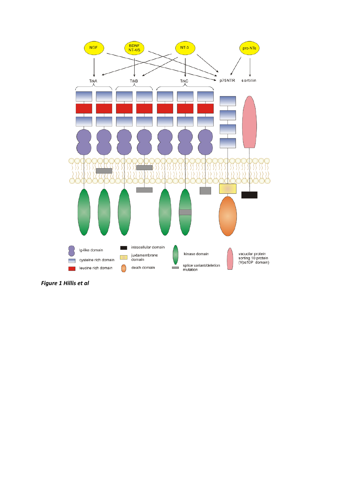

*Figure 1 Hillis et al*